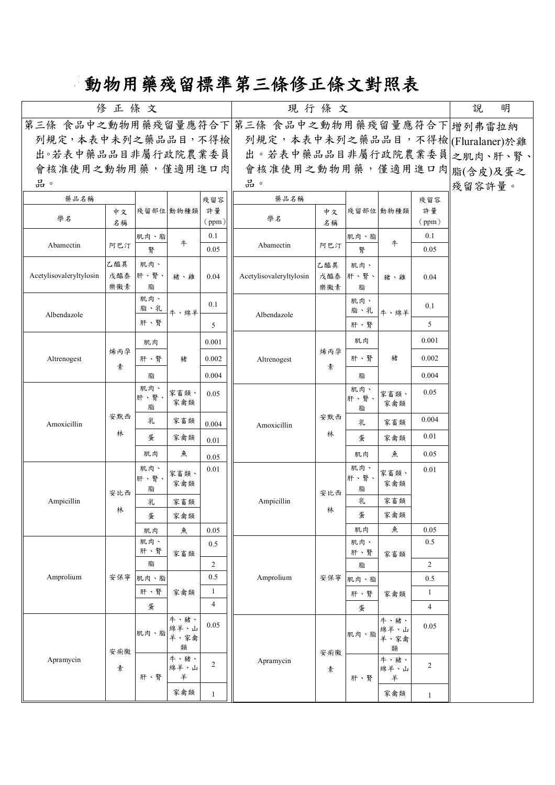## **動物用藥殘留標準第三條修正條文對照表**

| 第三條 食品中之動物用藥殘留量應符合下 第三條 食品中之動物用藥殘留量應符合下 增列弗雷拉納<br>列規定,本表中未列之藥品品目,不得檢<br>列規定,本表中未列之藥品品目,不得檢 (Fluralaner)於雞<br>出。若表中藥品品目非屬行政院農業委員之肌肉、肝、腎、<br>出。若表中藥品品目非屬行政院農業委員 |  |
|---------------------------------------------------------------------------------------------------------------------------------------------------------------|--|
|                                                                                                                                                               |  |
|                                                                                                                                                               |  |
|                                                                                                                                                               |  |
| 會核准使用之動物用藥,僅適用進口肉<br>會核准使用之動物用藥,僅適用進口肉腦(含皮)及蛋之                                                                                                                |  |
| 品。<br>品。<br>殘留容許量。                                                                                                                                            |  |
| 藥品名稱<br>藥品名稱<br>殘留容<br>殘留容                                                                                                                                    |  |
| 殘留部位 動物種類<br>許量<br>殘留部位 動物種類<br>許量<br>中文<br>中文<br>學名<br>學名                                                                                                    |  |
| (ppm)<br>(ppm)<br>名稱<br>名稱<br>0.1<br>0.1<br>肌肉、脂<br>肌肉、脂                                                                                                      |  |
| 牛<br>牛<br>Abamectin<br>Abamectin<br>阿巴汀<br>阿巴汀<br>腎<br>0.05<br>腎<br>0.05                                                                                      |  |
| 乙醯異<br>肌肉、<br>乙醯異<br>肌肉、                                                                                                                                      |  |
| Acetylisovaleryltylosin<br>戊醯泰<br>肝、腎、<br>Acetylisovaleryltylosin<br>戊醯泰<br>肝、腎、<br>豬、雞<br>0.04<br>0.04<br>豬、雞                                                |  |
| 樂黴素<br>脂<br>樂黴素<br>脂                                                                                                                                          |  |
| 肌肉、<br>肌肉、<br>0.1<br>0.1<br>脂、乳<br>脂、乳<br>牛、綿羊<br>牛、綿羊                                                                                                        |  |
| Albendazole<br>Albendazole<br>肝、腎<br>5<br>5<br>肝、腎                                                                                                            |  |
| 0.001<br>肌肉<br>0.001<br>肌肉                                                                                                                                    |  |
| 烯丙孕<br>烯丙孕<br>豬<br>肝、腎<br>0.002<br>Altrenogest<br>肝、腎<br>0.002<br>豬<br>Altrenogest                                                                            |  |
| 素<br>素<br>0.004                                                                                                                                               |  |
| 0.004<br>脂<br>脂<br>肌肉、<br>肌肉、                                                                                                                                 |  |
| 0.05<br>家畜類、<br>0.05<br>家畜類、<br>肝、腎、<br>肝、腎<br>家禽類<br>家禽類                                                                                                     |  |
| 脂<br>脂<br>安默西<br>安默西<br>0.004<br>家畜類<br>乳                                                                                                                     |  |
| 家畜類<br>乳<br>0.004<br>Amoxicillin<br>Amoxicillin<br>林<br>林<br>0.01<br>蛋<br>家禽類                                                                                 |  |
| 蛋<br>家禽類<br>0.01                                                                                                                                              |  |
| 魚<br>魚<br>0.05<br>肌肉<br>肌肉<br>0.05                                                                                                                            |  |
| 肌肉、<br>肌肉、<br>0.01<br>0.01<br>家畜類、<br>家畜類、<br>肝、腎<br>肝、腎、                                                                                                     |  |
| 家禽類<br>家禽類<br>脂<br>脂<br>安比西<br>安比西                                                                                                                            |  |
| 乳<br>家畜類<br>Ampicillin<br>Ampicillin<br>家畜類<br>乳<br>林<br>林                                                                                                    |  |
| 蛋<br>家禽類<br>蛋<br>家禽類                                                                                                                                          |  |
| 魚<br>肌肉<br>0.05<br>魚<br>0.05<br>肌肉<br>肌肉、<br>0.5<br>肌肉、                                                                                                       |  |
| $0.5\,$<br>肝、腎<br>肝、腎<br>家畜類<br>家畜類                                                                                                                           |  |
| 脂<br>2<br>$\overline{c}$<br>脂                                                                                                                                 |  |
| 0.5<br>Amprolium<br>Amprolium<br>安保寧<br>安保寧<br>0.5<br>肌肉、脂<br>肌肉、脂                                                                                            |  |
| 肝、腎<br>$\mathbf{1}$<br>家禽類<br>$\mathbf{1}$<br>肝、腎<br>家禽類<br>$\overline{4}$                                                                                    |  |
| 蛋<br>$\overline{4}$<br>蛋                                                                                                                                      |  |
| 牛、豬、<br>牛、豬、<br>0.05<br>0.05<br>綿羊、山<br>綿羊、山<br>肌肉、脂<br>肌肉、脂                                                                                                  |  |
| 羊、家禽<br>羊、家禽<br>類<br>類                                                                                                                                        |  |
| 安痢黴<br>安痢黴<br>牛、豬、<br>牛、豬、<br>Apramycin<br>Apramycin                                                                                                          |  |
| $\overline{2}$<br>2<br>綿羊、山<br>素<br>綿羊、山<br>素<br>羊<br>肝、腎<br>肝、腎<br>羊                                                                                         |  |
| 家禽類<br>家禽類<br>$\mathbf{1}$<br>$\mathbf{1}$                                                                                                                    |  |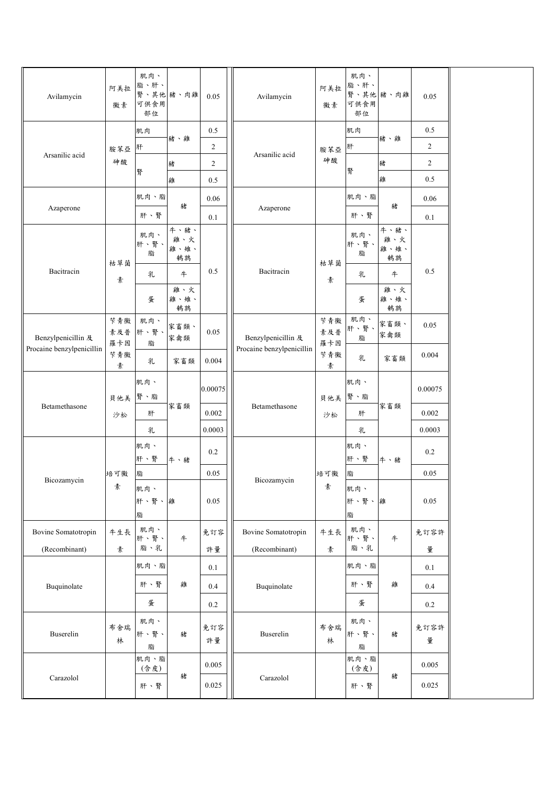| Avilamycin                | 阿美拉<br>黴素         | 肌肉、<br>脂、肝、<br>可供食用<br>部位 | 腎、其他 豬、肉雞                 | 0.05           | Avilamycin                | 阿美拉<br>黴素         | 肌肉、<br>脂、肝、<br>可供食用<br>部位 | 腎、其他 豬、肉雞                 | 0.05           |  |
|---------------------------|-------------------|---------------------------|---------------------------|----------------|---------------------------|-------------------|---------------------------|---------------------------|----------------|--|
|                           |                   | 肌肉                        |                           | $0.5\,$        |                           |                   | 肌肉                        |                           | 0.5            |  |
|                           | 胺苯亞               | 肝                         | 豬、雞                       | $\overline{c}$ | Arsanilic acid            | 胺苯亞               | 肝                         | 豬、雞                       | $\overline{2}$ |  |
| Arsanilic acid            | 砷酸                |                           | 豬                         | $\overline{c}$ |                           | 砷酸                | 腎                         | 豬                         | $\overline{c}$ |  |
|                           |                   | 腎                         | 雞                         | 0.5            |                           |                   |                           | 雞                         | 0.5            |  |
|                           |                   | 肌肉、脂                      | 豬                         | 0.06           |                           |                   | 肌肉、脂                      | 豬                         | 0.06           |  |
| Azaperone                 |                   | 肝、腎                       |                           | 0.1            | Azaperone                 |                   | 肝、腎                       |                           | 0.1            |  |
| Bacitracin                | 枯草菌               | 肌肉、<br>肝、腎、<br>脂          | 牛、豬、<br>雞、火<br>雞、雉、<br>鹌鹑 | 0.5            | Bacitracin                | 枯草菌               | 肌肉、<br>肝、腎、<br>脂          | 牛、豬、<br>雞、火<br>雞、雉、<br>鹌鹑 | 0.5            |  |
|                           | 素                 | 乳                         | $\pm$                     |                |                           | 素                 | 乳                         | 牛                         |                |  |
|                           |                   | 蛋                         | 雞、火<br>雞、雉、<br>鹌鹑         |                |                           |                   | 蛋                         | 雞、火<br>雞、雉、<br>鹌鹑         |                |  |
| Benzylpenicillin 及        | 苄青黴<br>素及普<br>羅卡因 | 肌肉、<br>肝、腎、<br>脂          | 家畜類、<br>家禽類               | 0.05           | Benzylpenicillin 及        | 苄青黴<br>素及普<br>羅卡因 | 肌肉、<br>肝、腎、<br>脂          | 家畜類、<br>家禽類               | 0.05           |  |
| Procaine benzylpenicillin | 苄青黴<br>素          | 乳                         | 家畜類                       | 0.004          | Procaine benzylpenicillin | 苄青黴<br>素          | 乳                         | 家畜類                       | 0.004          |  |
|                           | 貝他美               | 肌肉、<br>腎、脂                |                           | 0.00075        |                           | 貝他美               | 肌肉、<br>腎、脂                |                           | 0.00075        |  |
| Betamethasone             | 沙松                | 肝                         | 家畜類                       | 0.002          | Betamethasone             | 沙松                | 肝                         | 家畜類                       | 0.002          |  |
|                           |                   | 乳                         |                           | 0.0003         |                           |                   | 乳                         |                           | 0.0003         |  |
|                           |                   | 肌肉、<br>肝、腎                | 牛、豬                       | $0.2\,$        |                           |                   | 肌肉、<br>肝、腎                | 牛、豬                       | $0.2\,$        |  |
| Bicozamycin               | 培可黴               | 脂                         |                           | 0.05           | Bicozamycin               | 培可黴               | 脂                         |                           | $0.05\,$       |  |
|                           | 素                 | 肌肉、<br>肝、腎、雞<br>脂         |                           | 0.05           |                           | 素                 | 肌肉、<br>肝、腎、<br>脂          | 雞                         | 0.05           |  |
| Bovine Somatotropin       | 牛生長               | 肌肉、<br>肝、腎、               |                           | 免訂容            | Bovine Somatotropin       | 牛生長               | 肌肉、<br>肝、腎、               | 牛                         | 免訂容許           |  |
| (Recombinant)             | 素                 | 脂、乳                       | 牛                         | 許量             | (Recombinant)             | 素                 | 脂、乳                       |                           | 量              |  |
|                           |                   | 肌肉、脂                      |                           | 0.1            |                           |                   | 肌肉、脂                      |                           | 0.1            |  |
| Buquinolate               |                   | 肝、腎                       | 雞                         | 0.4            | Buquinolate               |                   | 肝、腎                       | 雞                         | 0.4            |  |
|                           |                   | 蛋                         |                           | 0.2            |                           |                   | 蛋                         |                           | 0.2            |  |
| Buserelin                 | 布舍瑞<br>林          | 肌肉、<br>肝、腎、<br>脂          | 豬                         | 免訂容<br>許量      | Buserelin                 | 布舍瑞<br>林          | 肌肉、<br>肝、腎、<br>脂          | 豬                         | 免訂容許<br>量      |  |
| Carazolol                 |                   | 肌肉、脂<br>(含皮)<br>肝、腎       | 豬                         | 0.005<br>0.025 | Carazolol                 |                   | 肌肉、脂<br>(含皮)<br>肝、腎       | 豬                         | 0.005<br>0.025 |  |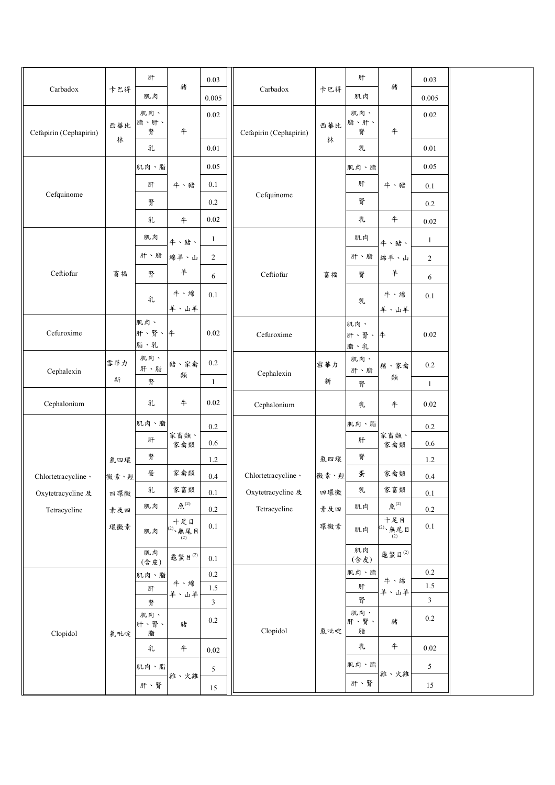| Carbadox               | 卡巴得  | 肝           | 豬                                 | 0.03           | Carbadox               | 卡巴得  | 肝            | 豬                                                                   | 0.03           |  |
|------------------------|------|-------------|-----------------------------------|----------------|------------------------|------|--------------|---------------------------------------------------------------------|----------------|--|
|                        |      | 肌肉          |                                   | 0.005          |                        |      | 肌肉           |                                                                     | 0.005          |  |
|                        | 西華比  | 肌肉、<br>脂、肝、 |                                   | 0.02           |                        | 西華比  | 肌肉、<br>脂、肝、  |                                                                     | $0.02\,$       |  |
| Cefapirin (Cephapirin) | 林    | 腎           | $\ddagger$                        |                | Cefapirin (Cephapirin) | 林    | 腎            | #                                                                   |                |  |
|                        |      | 乳           |                                   | 0.01           |                        |      | 乳            |                                                                     | $0.01\,$       |  |
|                        |      | 肌肉、脂        |                                   | 0.05           |                        |      | 肌肉、脂         |                                                                     | $0.05\,$       |  |
| Cefquinome             |      | 肝           | 牛、豬                               | 0.1            |                        |      | 肝            | 牛、豬                                                                 | 0.1            |  |
|                        |      | 腎           |                                   | $0.2\,$        | Cefquinome             |      | 腎            |                                                                     | $0.2\,$        |  |
|                        |      | 乳           | 牛                                 | 0.02           |                        |      | 乳            | 牛                                                                   | 0.02           |  |
|                        |      | 肌肉          | 牛、豬、                              | $\mathbf{1}$   |                        |      | 肌肉           | 牛、豬、                                                                | $\mathbf{1}$   |  |
|                        |      | 肝、脂         | 綿羊、山                              | $\overline{2}$ |                        |      | 肝、脂          | 綿羊、山                                                                | $\overline{c}$ |  |
| Ceftiofur              | 畜福   | 腎           | 羊                                 | 6              | Ceftiofur              | 畜福   | 腎            | 羊                                                                   | 6              |  |
|                        |      | 乳           | 牛、綿                               | 0.1            |                        |      | 乳            | 牛、綿                                                                 | $0.1\,$        |  |
|                        |      |             | 羊、山羊                              |                |                        |      |              | 羊、山羊                                                                |                |  |
| Cefuroxime             |      | 肌肉、<br>肝、腎、 | #                                 | 0.02           | Cefuroxime             |      | 肌肉、<br>肝、腎、牛 |                                                                     | $0.02\,$       |  |
|                        |      | 脂、乳         |                                   |                |                        |      | 脂、乳          |                                                                     |                |  |
| Cephalexin             | 雪華力  | 肌肉、<br>肝、脂  | 豬、家禽                              | $0.2\,$        |                        | 雪華力  | 肌肉、<br>肝、脂   | 豬、家禽                                                                | $0.2\,$        |  |
|                        | 新    | 腎           | 類                                 | 1              | Cephalexin             | 新    | 腎            | 類                                                                   | $\mathbf{1}$   |  |
| Cephalonium            |      | 乳           | $\pm$                             | 0.02           | Cephalonium            |      | 乳            | 牛                                                                   | $0.02\,$       |  |
|                        |      | 肌肉、脂        |                                   | 0.2            |                        |      | 肌肉、脂         |                                                                     | $0.2\,$        |  |
|                        |      | 肝           | 家畜類、<br>家禽類                       | 0.6            |                        |      | 肝            | 家畜類、<br>家禽類                                                         | $0.6\,$        |  |
|                        | 氯四環  | 腎           |                                   | 1.2            |                        | 氯四環  | 腎            |                                                                     | 1.2            |  |
| Chlortetracycline \    | 黴素、羥 | 蛋           | 家禽類                               | 0.4            | Chlortetracycline \    | 黴素、羥 | 蛋            | 家禽類                                                                 | $0.4\,$        |  |
| Oxytetracycline 及      | 四環黴  | 乳           | 家畜類                               | 0.1            | Oxytetracycline 及      | 四環黴  | 乳            | 家畜類                                                                 | $0.1\,$        |  |
| Tetracycline           | 素及四  | 肌肉          | 魚 $(2)$                           | $0.2\,$        | Tetracycline           | 素及四  | 肌肉           | 魚 $(2)$                                                             | $0.2\,$        |  |
|                        | 環黴素  | 肌肉          | 十足目<br><sup>(2)、</sup> 無尾目<br>(2) | $0.1\,$        |                        | 環黴素  | 肌肉           | 十足目<br>$\left  \begin{matrix} 2 \ 2 \ 2 \ 2 \ \end{matrix} \right $ | $0.1\,$        |  |
|                        |      | 肌肉<br>(含皮)  | 龜鱉目 $^{(2)}$                      | 0.1            |                        |      | 肌肉<br>(含皮)   | 龜鱉目(2)                                                              |                |  |
|                        |      | 肌肉、脂        |                                   | 0.2            |                        |      | 肌肉、脂         | 牛、綿                                                                 | 0.2            |  |
|                        |      | 肝           | 牛、綿<br>羊、山羊                       | 1.5            |                        |      | 肝            | 羊、山羊                                                                | 1.5            |  |
|                        |      | 腎<br>肌肉、    |                                   | 3              |                        |      | 腎<br>肌肉、     |                                                                     | $\mathfrak{Z}$ |  |
| Clopidol               | 氯吡啶  | 肝、腎、<br>脂   | 豬                                 | $0.2\,$        | Clopidol               | 氯吡啶  | 肝、腎、<br>脂    | 豬                                                                   | 0.2            |  |
|                        |      | 乳           | $\#$                              | 0.02           |                        |      | 乳            | 牛                                                                   | 0.02           |  |
|                        |      | 肌肉、脂        | 雞、火雞                              | 5              |                        |      | 肌肉、脂         | 雞、火雞                                                                | 5              |  |
|                        |      | 肝、腎         |                                   | 15             |                        |      | 肝、腎          |                                                                     | 15             |  |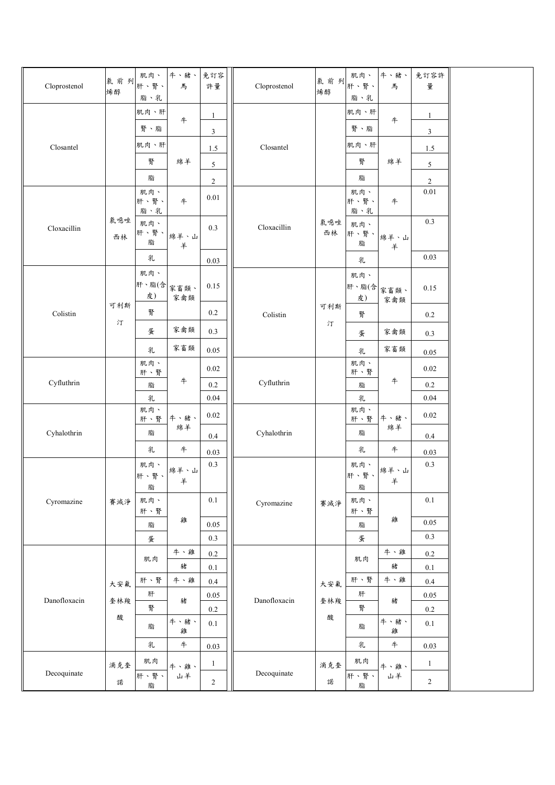| Cloprostenol | 氯前列<br>烯醇 | 肌肉、<br>肝、腎、<br>脂、乳 | 牛、豬、<br>馬   | 免訂容<br>許量           | Cloprostenol | 氯前列<br>烯醇 | 肌肉、<br>肝、腎、<br>脂、乳 | 牛、豬、<br>馬   | 免訂容許<br>量                      |  |
|--------------|-----------|--------------------|-------------|---------------------|--------------|-----------|--------------------|-------------|--------------------------------|--|
|              |           | 肌肉、肝<br>腎、脂        | #           | 1<br>$\mathfrak{Z}$ |              |           | 肌肉、肝<br>腎、脂        | #           | $\mathbf{1}$<br>$\mathfrak{Z}$ |  |
| Closantel    |           | 肌肉、肝<br>腎          | 綿羊          | 1.5<br>5            | Closantel    |           | 肌肉、肝<br>腎          | 綿羊          | 1.5<br>5                       |  |
|              |           | 脂<br>肌肉、           |             | $\overline{c}$      |              |           | 脂<br>肌肉、           |             | $\overline{2}$<br>$0.01\,$     |  |
|              | 氯噁唑       | 肝、腎、<br>脂、乳        | #           | 0.01                |              | 氯噁唑       | 肝、腎、<br>脂、乳        | 牛           | 0.3                            |  |
| Cloxacillin  | 西林        | 肌肉、<br>肝、腎、<br>脂   | 綿羊、山<br>羊   | 0.3                 | Cloxacillin  | 西林        | 肌肉、<br>肝、腎、<br>脂   | 綿羊、山<br>羊   |                                |  |
|              |           | 乳                  |             | 0.03                |              |           | 乳                  |             | 0.03                           |  |
|              |           | 肌肉、<br>肝、脂(含<br>皮) | 家畜類、<br>家禽類 | 0.15                |              |           | 肌肉、<br>肝、脂(含<br>皮) | 家畜類、<br>家禽類 | 0.15                           |  |
| Colistin     | 可利斯<br>汀  | 腎                  |             | 0.2                 | Colistin     | 可利斯<br>汀  | 腎                  |             | 0.2                            |  |
|              |           | 蛋                  | 家禽類         | 0.3                 |              |           | 蛋                  | 家禽類         | 0.3                            |  |
|              |           | 乳                  | 家畜類         | 0.05                |              |           | 乳                  | 家畜類         | 0.05                           |  |
|              |           | 肌肉、<br>肝、腎         |             | 0.02                |              |           | 肌肉、<br>肝、腎         |             | $0.02\,$                       |  |
| Cyfluthrin   |           | 脂                  | 牛           | $0.2\,$             | Cyfluthrin   |           | 脂                  | 牛           | $0.2\,$                        |  |
|              |           | 乳<br>肌肉、           |             | 0.04                |              |           | 乳<br>肌肉、           |             | 0.04                           |  |
|              |           | 肝、腎                | 牛、豬、<br>綿羊  | 0.02                |              |           | 肝、腎                | 牛、豬、<br>綿羊  | $0.02\,$                       |  |
| Cyhalothrin  |           | 脂                  |             | 0.4                 | Cyhalothrin  |           | 脂                  |             | 0.4                            |  |
|              |           | 乳<br>肌肉、           | $\ddagger$  | 0.03<br>0.3         |              |           | 乳<br>肌肉、           | $\#$        | 0.03<br>$0.3\,$                |  |
|              |           | 肝、腎、<br>脂          | 綿羊、山<br>羊   |                     |              |           | 肝、腎、<br>脂          | 綿羊、山<br>羊   |                                |  |
| Cyromazine   | 賽滅淨       | 肌肉、<br>肝、腎         |             | $0.1\,$             | Cyromazine   | 賽滅淨       | 肌肉、<br>肝、腎         |             | 0.1                            |  |
|              |           | 脂                  | 雞           | 0.05                |              |           | 脂                  | 雞           | 0.05                           |  |
|              |           | 蛋                  |             | 0.3                 |              |           | 蛋                  |             | 0.3                            |  |
|              |           | 肌肉                 | 牛、雞         | $0.2\,$             |              |           | 肌肉                 | 牛、雞         | $0.2\,$                        |  |
|              |           |                    | 豬           | $0.1\,$             |              |           |                    | 豬           | $0.1\,$                        |  |
|              | 大安氟       | 肝、腎                | 牛、雞         | 0.4                 |              | 大安氟       | 肝、腎                | 牛、雞         | 0.4                            |  |
| Danofloxacin | 奎林羧       | 肝<br>腎             | 豬           | $0.05\,$<br>$0.2\,$ | Danofloxacin | 奎林羧       | 肝<br>腎             | 豬           | $0.05\,$<br>$0.2\,$            |  |
|              | 酸         | 脂                  | 牛、豬、<br>雞   | 0.1                 |              | 酸         | 脂                  | 牛、豬、<br>雞   | 0.1                            |  |
|              |           | 乳                  | $\#$        | 0.03                |              |           | 乳                  | $\ddagger$  | 0.03                           |  |
| Decoquinate  | 滴克奎       | 肌肉<br>肝、腎、         | 牛、雞、<br>山羊  | $\mathbf{1}$        | Decoquinate  | 滴克奎       | 肌肉<br>肝、腎、         | 牛、雞、<br>山羊  | $\mathbf{1}$                   |  |
|              | 諾         | 脂                  |             | $\overline{c}$      |              | 諾         | 脂                  |             | $\sqrt{2}$                     |  |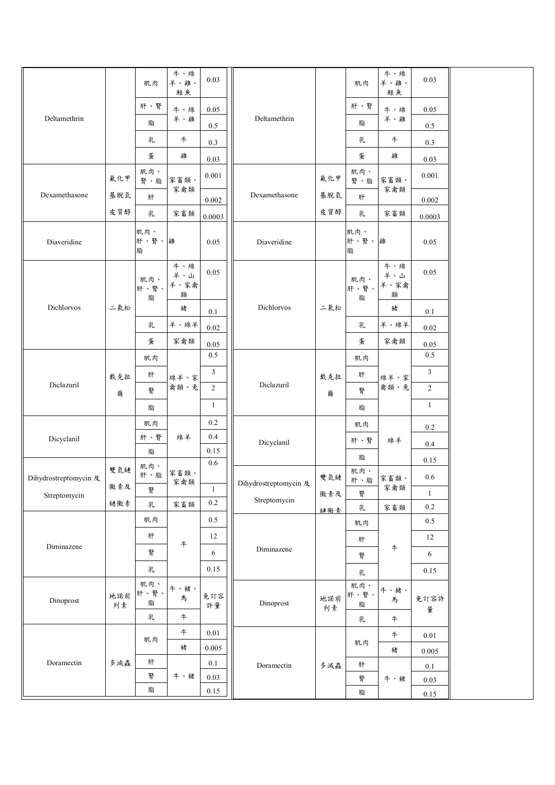| 肝、腎<br>肝、腎<br>牛、綿<br>0.05<br>牛、綿<br>$0.05\,$<br>Deltamethrin<br>Deltamethrin<br>羊、雞<br>羊、雞<br>脂<br>脂<br>0.5<br>0.5<br>$\ddagger$<br>乳<br>乳<br>$\#$<br>$0.3\,$<br>0.3<br>蛋<br>雞<br>蛋<br>雞<br>0.03<br>0.03<br>肌肉、<br>肌肉、<br>0.001<br>0.001<br>氟化甲<br>氟化甲<br>家畜類、<br>家畜類、<br>腎、脂<br>腎、脂<br>家禽類<br>家禽類<br>Dexamethasone<br>Dexamethasone<br>基脱氫<br>基脱氫<br>肝<br>肝<br>0.002<br>0.002<br>皮質醇<br>皮質醇<br>家畜類<br>乳<br>乳<br>家畜類<br>0.0003<br>0.0003<br>肌肉、<br>肌肉、<br>肝、腎、雞<br>肝、腎、難<br>Diaveridine<br>0.05<br>Diaveridine<br>0.05<br>脂<br>脂<br>牛、綿<br>牛、綿<br>0.05<br>0.05<br>羊、山<br>羊、山<br>肌肉、<br>肌肉、<br>羊、家禽<br>羊、家禽<br>肝、腎、<br>肝、腎、<br>類<br>類<br>脂<br>脂<br>Dichlorvos<br>Dichlorvos<br>二氯松<br>二氯松<br>豬<br>豬<br>0.1<br>0.1<br>羊、綿羊<br>羊、綿羊<br>乳<br>乳<br>0.02<br>$0.02\,$<br>蛋<br>蛋<br>家禽類<br>家禽類<br>0.05<br>0.05<br>0.5<br>0.5<br>肌肉<br>肌肉<br>$\mathfrak{Z}$<br>$\mathfrak{Z}$<br>肝<br>肝<br>戴克拉<br>戴克拉<br>綿羊、家<br>綿羊、家<br>Diclazuril<br>Diclazuril<br>禽類、兔<br>禽類、兔<br>$\overline{2}$<br>$\sqrt{2}$<br>腎<br>腎<br>爾<br>爾<br>$\mathbf{1}$<br>-1<br>脂<br>脂<br>$0.2\,$<br>肌肉<br>肌肉<br>0.2<br>0.4<br>肝、腎<br>綿羊<br>Dicyclanil<br>肝、腎<br>綿羊<br>Dicyclanil<br>0.4<br>0.15<br>脂<br>脂<br>0.15<br>$0.6\,$<br>肌肉、<br>雙氫鏈<br>肌肉、<br>家畜類、<br>肝、脂<br>$0.6\,$<br>雙氫鏈<br>Dihydrostreptomycin 及<br>家畜類、<br>肝、脂<br>家禽類<br>Dihydrostreptomycin ${\mathcal R}$<br>黴素及<br>家禽類<br>$\mathbf{1}$<br>腎<br>$\mathbf{1}$<br>黴素及<br>腎<br>Streptomycin<br>Streptomycin<br>$0.2\,$<br>鏈黴素<br>乳<br>家畜類<br>$0.2\,$<br>乳<br>家畜類<br>鏈黴素<br>$0.5\,$<br>肌肉<br>0.5<br>肌肉<br>12<br>肝<br>12<br>肝<br>牛<br>Diminazene<br>$\ddagger$<br>Diminazene<br>腎<br>6<br>6<br>腎<br>乳<br>0.15<br>0.15<br>乳<br>肌肉、<br>肌肉、<br>牛、豬、<br>牛、豬、<br>肝、腎、<br>肝、腎、<br>地諾前<br>免訂容<br>馬<br>地諾前<br>馬<br>免訂容許<br>Dinoprost<br>脂<br>Dinoprost<br>脂<br>許量<br>列素<br>列素<br>量<br>$\boldsymbol{+}$<br>乳<br>#<br>乳<br>#<br>0.01<br>#<br>0.01<br>肌肉<br>肌肉<br>豬<br>0.005<br>豬<br>0.005<br>Doramectin<br>肝<br>多減蟲<br>$0.1\,$<br>Doramectin<br>肝<br>多減蟲<br>0.1<br>腎<br>牛、豬<br>0.03<br>牛、豬<br>腎<br>0.03<br>脂<br>0.15 |  | 肌肉 | 牛、綿<br>羊、雞、<br>鮭魚 | 0.03 |  | 肌肉 | 牛、綿<br>羊、雞、<br>鮭魚 | 0.03     |  |
|----------------------------------------------------------------------------------------------------------------------------------------------------------------------------------------------------------------------------------------------------------------------------------------------------------------------------------------------------------------------------------------------------------------------------------------------------------------------------------------------------------------------------------------------------------------------------------------------------------------------------------------------------------------------------------------------------------------------------------------------------------------------------------------------------------------------------------------------------------------------------------------------------------------------------------------------------------------------------------------------------------------------------------------------------------------------------------------------------------------------------------------------------------------------------------------------------------------------------------------------------------------------------------------------------------------------------------------------------------------------------------------------------------------------------------------------------------------------------------------------------------------------------------------------------------------------------------------------------------------------------------------------------------------------------------------------------------------------------------------------------------------------------------------------------------------------------------------------------------------------------------------------------------------------------------------------------------------------------------------------------------------------------|--|----|-------------------|------|--|----|-------------------|----------|--|
|                                                                                                                                                                                                                                                                                                                                                                                                                                                                                                                                                                                                                                                                                                                                                                                                                                                                                                                                                                                                                                                                                                                                                                                                                                                                                                                                                                                                                                                                                                                                                                                                                                                                                                                                                                                                                                                                                                                                                                                                                            |  |    |                   |      |  |    |                   |          |  |
|                                                                                                                                                                                                                                                                                                                                                                                                                                                                                                                                                                                                                                                                                                                                                                                                                                                                                                                                                                                                                                                                                                                                                                                                                                                                                                                                                                                                                                                                                                                                                                                                                                                                                                                                                                                                                                                                                                                                                                                                                            |  |    |                   |      |  |    |                   |          |  |
|                                                                                                                                                                                                                                                                                                                                                                                                                                                                                                                                                                                                                                                                                                                                                                                                                                                                                                                                                                                                                                                                                                                                                                                                                                                                                                                                                                                                                                                                                                                                                                                                                                                                                                                                                                                                                                                                                                                                                                                                                            |  |    |                   |      |  |    |                   |          |  |
|                                                                                                                                                                                                                                                                                                                                                                                                                                                                                                                                                                                                                                                                                                                                                                                                                                                                                                                                                                                                                                                                                                                                                                                                                                                                                                                                                                                                                                                                                                                                                                                                                                                                                                                                                                                                                                                                                                                                                                                                                            |  |    |                   |      |  |    |                   |          |  |
|                                                                                                                                                                                                                                                                                                                                                                                                                                                                                                                                                                                                                                                                                                                                                                                                                                                                                                                                                                                                                                                                                                                                                                                                                                                                                                                                                                                                                                                                                                                                                                                                                                                                                                                                                                                                                                                                                                                                                                                                                            |  |    |                   |      |  |    |                   |          |  |
|                                                                                                                                                                                                                                                                                                                                                                                                                                                                                                                                                                                                                                                                                                                                                                                                                                                                                                                                                                                                                                                                                                                                                                                                                                                                                                                                                                                                                                                                                                                                                                                                                                                                                                                                                                                                                                                                                                                                                                                                                            |  |    |                   |      |  |    |                   |          |  |
|                                                                                                                                                                                                                                                                                                                                                                                                                                                                                                                                                                                                                                                                                                                                                                                                                                                                                                                                                                                                                                                                                                                                                                                                                                                                                                                                                                                                                                                                                                                                                                                                                                                                                                                                                                                                                                                                                                                                                                                                                            |  |    |                   |      |  |    |                   |          |  |
|                                                                                                                                                                                                                                                                                                                                                                                                                                                                                                                                                                                                                                                                                                                                                                                                                                                                                                                                                                                                                                                                                                                                                                                                                                                                                                                                                                                                                                                                                                                                                                                                                                                                                                                                                                                                                                                                                                                                                                                                                            |  |    |                   |      |  |    |                   |          |  |
|                                                                                                                                                                                                                                                                                                                                                                                                                                                                                                                                                                                                                                                                                                                                                                                                                                                                                                                                                                                                                                                                                                                                                                                                                                                                                                                                                                                                                                                                                                                                                                                                                                                                                                                                                                                                                                                                                                                                                                                                                            |  |    |                   |      |  |    |                   |          |  |
|                                                                                                                                                                                                                                                                                                                                                                                                                                                                                                                                                                                                                                                                                                                                                                                                                                                                                                                                                                                                                                                                                                                                                                                                                                                                                                                                                                                                                                                                                                                                                                                                                                                                                                                                                                                                                                                                                                                                                                                                                            |  |    |                   |      |  |    |                   |          |  |
|                                                                                                                                                                                                                                                                                                                                                                                                                                                                                                                                                                                                                                                                                                                                                                                                                                                                                                                                                                                                                                                                                                                                                                                                                                                                                                                                                                                                                                                                                                                                                                                                                                                                                                                                                                                                                                                                                                                                                                                                                            |  |    |                   |      |  |    |                   |          |  |
|                                                                                                                                                                                                                                                                                                                                                                                                                                                                                                                                                                                                                                                                                                                                                                                                                                                                                                                                                                                                                                                                                                                                                                                                                                                                                                                                                                                                                                                                                                                                                                                                                                                                                                                                                                                                                                                                                                                                                                                                                            |  |    |                   |      |  |    |                   |          |  |
|                                                                                                                                                                                                                                                                                                                                                                                                                                                                                                                                                                                                                                                                                                                                                                                                                                                                                                                                                                                                                                                                                                                                                                                                                                                                                                                                                                                                                                                                                                                                                                                                                                                                                                                                                                                                                                                                                                                                                                                                                            |  |    |                   |      |  |    |                   |          |  |
|                                                                                                                                                                                                                                                                                                                                                                                                                                                                                                                                                                                                                                                                                                                                                                                                                                                                                                                                                                                                                                                                                                                                                                                                                                                                                                                                                                                                                                                                                                                                                                                                                                                                                                                                                                                                                                                                                                                                                                                                                            |  |    |                   |      |  |    |                   |          |  |
|                                                                                                                                                                                                                                                                                                                                                                                                                                                                                                                                                                                                                                                                                                                                                                                                                                                                                                                                                                                                                                                                                                                                                                                                                                                                                                                                                                                                                                                                                                                                                                                                                                                                                                                                                                                                                                                                                                                                                                                                                            |  |    |                   |      |  |    |                   |          |  |
|                                                                                                                                                                                                                                                                                                                                                                                                                                                                                                                                                                                                                                                                                                                                                                                                                                                                                                                                                                                                                                                                                                                                                                                                                                                                                                                                                                                                                                                                                                                                                                                                                                                                                                                                                                                                                                                                                                                                                                                                                            |  |    |                   |      |  |    |                   |          |  |
|                                                                                                                                                                                                                                                                                                                                                                                                                                                                                                                                                                                                                                                                                                                                                                                                                                                                                                                                                                                                                                                                                                                                                                                                                                                                                                                                                                                                                                                                                                                                                                                                                                                                                                                                                                                                                                                                                                                                                                                                                            |  |    |                   |      |  |    |                   |          |  |
|                                                                                                                                                                                                                                                                                                                                                                                                                                                                                                                                                                                                                                                                                                                                                                                                                                                                                                                                                                                                                                                                                                                                                                                                                                                                                                                                                                                                                                                                                                                                                                                                                                                                                                                                                                                                                                                                                                                                                                                                                            |  |    |                   |      |  |    |                   |          |  |
|                                                                                                                                                                                                                                                                                                                                                                                                                                                                                                                                                                                                                                                                                                                                                                                                                                                                                                                                                                                                                                                                                                                                                                                                                                                                                                                                                                                                                                                                                                                                                                                                                                                                                                                                                                                                                                                                                                                                                                                                                            |  |    |                   |      |  |    |                   |          |  |
|                                                                                                                                                                                                                                                                                                                                                                                                                                                                                                                                                                                                                                                                                                                                                                                                                                                                                                                                                                                                                                                                                                                                                                                                                                                                                                                                                                                                                                                                                                                                                                                                                                                                                                                                                                                                                                                                                                                                                                                                                            |  |    |                   |      |  |    |                   |          |  |
|                                                                                                                                                                                                                                                                                                                                                                                                                                                                                                                                                                                                                                                                                                                                                                                                                                                                                                                                                                                                                                                                                                                                                                                                                                                                                                                                                                                                                                                                                                                                                                                                                                                                                                                                                                                                                                                                                                                                                                                                                            |  |    |                   |      |  |    |                   |          |  |
|                                                                                                                                                                                                                                                                                                                                                                                                                                                                                                                                                                                                                                                                                                                                                                                                                                                                                                                                                                                                                                                                                                                                                                                                                                                                                                                                                                                                                                                                                                                                                                                                                                                                                                                                                                                                                                                                                                                                                                                                                            |  |    |                   |      |  |    |                   |          |  |
|                                                                                                                                                                                                                                                                                                                                                                                                                                                                                                                                                                                                                                                                                                                                                                                                                                                                                                                                                                                                                                                                                                                                                                                                                                                                                                                                                                                                                                                                                                                                                                                                                                                                                                                                                                                                                                                                                                                                                                                                                            |  |    |                   |      |  |    |                   |          |  |
|                                                                                                                                                                                                                                                                                                                                                                                                                                                                                                                                                                                                                                                                                                                                                                                                                                                                                                                                                                                                                                                                                                                                                                                                                                                                                                                                                                                                                                                                                                                                                                                                                                                                                                                                                                                                                                                                                                                                                                                                                            |  |    |                   |      |  |    |                   |          |  |
|                                                                                                                                                                                                                                                                                                                                                                                                                                                                                                                                                                                                                                                                                                                                                                                                                                                                                                                                                                                                                                                                                                                                                                                                                                                                                                                                                                                                                                                                                                                                                                                                                                                                                                                                                                                                                                                                                                                                                                                                                            |  |    |                   |      |  |    |                   |          |  |
|                                                                                                                                                                                                                                                                                                                                                                                                                                                                                                                                                                                                                                                                                                                                                                                                                                                                                                                                                                                                                                                                                                                                                                                                                                                                                                                                                                                                                                                                                                                                                                                                                                                                                                                                                                                                                                                                                                                                                                                                                            |  |    |                   |      |  |    |                   |          |  |
|                                                                                                                                                                                                                                                                                                                                                                                                                                                                                                                                                                                                                                                                                                                                                                                                                                                                                                                                                                                                                                                                                                                                                                                                                                                                                                                                                                                                                                                                                                                                                                                                                                                                                                                                                                                                                                                                                                                                                                                                                            |  |    |                   |      |  |    |                   |          |  |
|                                                                                                                                                                                                                                                                                                                                                                                                                                                                                                                                                                                                                                                                                                                                                                                                                                                                                                                                                                                                                                                                                                                                                                                                                                                                                                                                                                                                                                                                                                                                                                                                                                                                                                                                                                                                                                                                                                                                                                                                                            |  |    |                   |      |  |    |                   |          |  |
|                                                                                                                                                                                                                                                                                                                                                                                                                                                                                                                                                                                                                                                                                                                                                                                                                                                                                                                                                                                                                                                                                                                                                                                                                                                                                                                                                                                                                                                                                                                                                                                                                                                                                                                                                                                                                                                                                                                                                                                                                            |  |    |                   |      |  |    |                   |          |  |
|                                                                                                                                                                                                                                                                                                                                                                                                                                                                                                                                                                                                                                                                                                                                                                                                                                                                                                                                                                                                                                                                                                                                                                                                                                                                                                                                                                                                                                                                                                                                                                                                                                                                                                                                                                                                                                                                                                                                                                                                                            |  |    |                   |      |  |    |                   |          |  |
|                                                                                                                                                                                                                                                                                                                                                                                                                                                                                                                                                                                                                                                                                                                                                                                                                                                                                                                                                                                                                                                                                                                                                                                                                                                                                                                                                                                                                                                                                                                                                                                                                                                                                                                                                                                                                                                                                                                                                                                                                            |  |    |                   |      |  |    |                   |          |  |
|                                                                                                                                                                                                                                                                                                                                                                                                                                                                                                                                                                                                                                                                                                                                                                                                                                                                                                                                                                                                                                                                                                                                                                                                                                                                                                                                                                                                                                                                                                                                                                                                                                                                                                                                                                                                                                                                                                                                                                                                                            |  |    |                   |      |  | 脂  |                   | $0.15\,$ |  |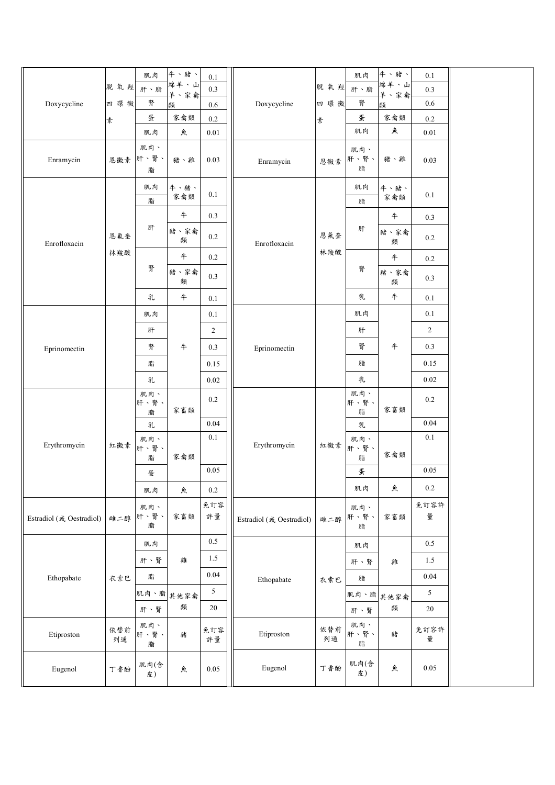|                          | 脱氧羥肝、脂    | 肌肉               | 牛、豬、<br>綿羊、山 | $0.1\,$<br>0.3 |                          | 脫氧羥       | 肌肉<br>肝、脂        | 牛、豬、<br>綿羊、山     | 0.1            |  |
|--------------------------|-----------|------------------|--------------|----------------|--------------------------|-----------|------------------|------------------|----------------|--|
| Doxycycline              | 四環黴       | 腎                | 羊、家禽         |                | Doxycycline              | 四環黴       | 腎                | 羊、家禽             | 0.3<br>0.6     |  |
|                          |           | 蛋                | 類<br>家禽類     | 0.6<br>$0.2\,$ |                          |           | 蛋                | 類<br>家禽類         | 0.2            |  |
|                          | 素         | 肌肉               | 魚            | $0.01\,$       |                          | 素         | 肌肉               | 魚                | 0.01           |  |
| Enramycin                | 恩黴素       | 肌肉、<br>肝、腎、<br>脂 | 豬、雞          | 0.03           | Enramycin                | 恩黴素       | 肌肉、<br>肝、腎、<br>脂 | 豬、雞              | 0.03           |  |
|                          |           | 肌肉<br>脂          | 牛、豬、<br>家禽類  | $0.1\,$        |                          |           | 肌肉<br>脂          | 牛、豬、<br>家禽類      | 0.1            |  |
|                          |           |                  | $\ddagger$   | 0.3            |                          |           |                  | $\boldsymbol{+}$ | 0.3            |  |
| Enrofloxacin             | 恩氟奎       | 肝                | 豬、家禽<br>類    | $0.2\,$        | Enrofloxacin             | 恩氟奎       | 肝                | 豬、家禽<br>類        | 0.2            |  |
|                          | 林羧酸       |                  | 牛            | 0.2            |                          | 林羧酸       |                  | $\ddagger$       | 0.2            |  |
|                          |           | 腎                | 豬、家禽<br>類    | 0.3            |                          |           | 腎                | 豬、家禽<br>類        | 0.3            |  |
|                          |           | 乳                | $\#$         | $0.1\,$        |                          |           | 乳                | $\boldsymbol{+}$ | 0.1            |  |
|                          |           | 肌肉               |              | $0.1\,$        |                          |           | 肌肉               |                  | 0.1            |  |
|                          |           | 肝                |              | $\overline{2}$ |                          |           | 肝                |                  | $\overline{c}$ |  |
| Eprinomectin             |           | 腎                | #            | 0.3            | Eprinomectin             |           | 腎                | $\ddagger$       | 0.3            |  |
|                          |           | 脂                |              | 0.15           |                          |           | 脂                |                  | 0.15           |  |
|                          |           | 乳                |              | 0.02           |                          |           | 乳                |                  | 0.02           |  |
|                          |           | 肌肉、<br>肝、腎、<br>脂 | 家畜類          | 0.2            |                          |           | 肌肉、<br>肝、腎、<br>脂 | 家畜類              | 0.2            |  |
|                          |           | 乳                |              | 0.04           |                          |           | 乳                |                  | 0.04           |  |
| Erythromycin             | 紅黴素       | 肌肉、<br>肝、腎、<br>脂 | 家禽類          | $0.1\,$        | Erythromycin             | 紅黴素       | 肌肉、<br>肝、腎、<br>脂 | 家禽類              | 0.1            |  |
|                          |           | 蛋                |              | 0.05           |                          |           | 蛋                |                  | 0.05           |  |
|                          |           | 肌肉               | 魚            | 0.2            |                          |           | 肌肉               | 魚                | $0.2\,$        |  |
| Estradiol (或 Oestradiol) | 雌二醇       | 肌肉、<br>肝、腎、<br>脂 | 家畜類          | 免訂容<br>許量      | Estradiol (或 Oestradiol) | 雌二醇       | 肌肉、<br>肝、腎、<br>脂 | 家畜類              | 免訂容許<br>量      |  |
|                          |           | 肌肉               |              | $0.5\,$        |                          |           | 肌肉               |                  | $0.5\,$        |  |
|                          |           | 肝、腎              | 雞            | $1.5\,$        |                          |           | 肝、腎              | 雞                | $1.5\,$        |  |
| Ethopabate               | 衣索巴       | 脂                |              | 0.04           | Ethopabate               | 衣索巴       | 脂                |                  | 0.04           |  |
|                          |           |                  | 肌肉、脂 其他家禽    | 5              |                          |           | 肌肉、脂             | 其他家禽             | 5              |  |
|                          |           | 肝、腎              | 類            | $20\,$         |                          |           | 肝、腎              | 類                | 20             |  |
| Etiproston               | 依替前<br>列通 | 肌肉、<br>肝、腎、<br>脂 | 豬            | 免訂容<br>許量      | Etiproston               | 依替前<br>列通 | 肌肉、<br>肝、腎、<br>脂 | 豬                | 免訂容許<br>量      |  |
| Eugenol                  | 丁香酚       | 肌肉(含<br>皮)       | 魚            | 0.05           | Eugenol                  | 丁香酚       | 肌肉(含<br>皮)       | 魚                | $0.05\,$       |  |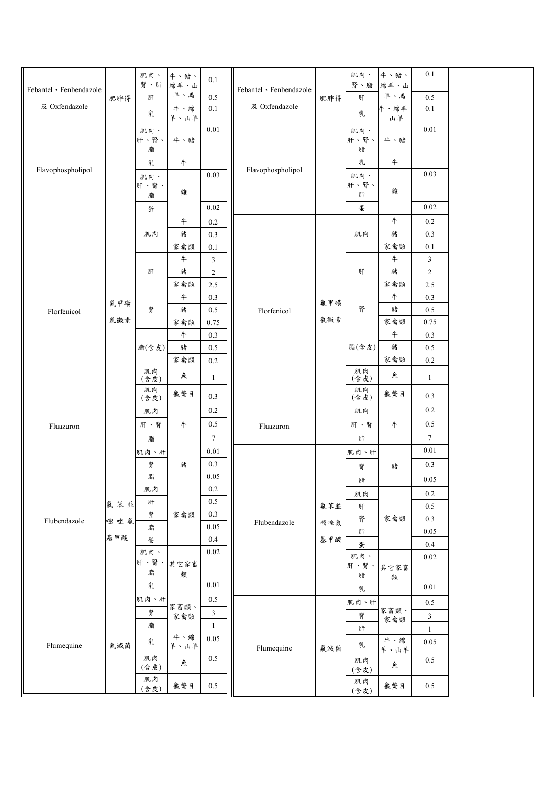| Febantel · Fenbendazole<br>及 Oxfendazole | 肥胖得        | 肌肉、<br>腎、脂<br>肝<br>乳                 | 牛、豬、<br>綿羊、山<br>羊、馬<br>牛、綿<br>羊、山羊 | 0.1<br>0.5<br>0.1                      | Febantel · Fenbendazole<br>及 Oxfendazole | 肥胖得        | 肌肉、<br>腎、脂<br>肝<br>乳                 | 牛、豬、<br>綿羊、山<br>羊、馬<br>牛、綿羊<br>山羊 | 0.1<br>0.5<br>0.1                      |  |
|------------------------------------------|------------|--------------------------------------|------------------------------------|----------------------------------------|------------------------------------------|------------|--------------------------------------|-----------------------------------|----------------------------------------|--|
| Flavophospholipol                        |            | 肌肉、<br>肝、腎、<br>脂<br>乳<br>肌肉、<br>肝、腎、 | 牛、豬<br>$\ddagger$                  | $0.01\,$<br>0.03                       | Flavophospholipol                        |            | 肌肉、<br>肝、腎、<br>脂<br>乳<br>肌肉、<br>肝、腎、 | 牛、豬<br>$\#$                       | $0.01\,$<br>0.03                       |  |
|                                          |            | 脂<br>蛋                               | 雞<br>$\ddagger$                    | $0.02\,$<br>$0.2\,$                    |                                          |            | 脂<br>蛋                               | 雞<br>$\pm$                        | $0.02\,$<br>$0.2\,$                    |  |
|                                          |            | 肌肉                                   | 豬<br>家禽類<br>$\ddagger$             | 0.3<br>0.1<br>$\mathfrak{Z}$           |                                          |            | 肌肉                                   | 豬<br>家禽類<br>$\ddagger$            | 0.3<br>0.1<br>$\mathfrak{Z}$           |  |
|                                          | 氟甲磺        | 肝                                    | 豬<br>家禽類<br>#                      | $\overline{2}$<br>2.5<br>0.3           |                                          | 氟甲磺        | 肝                                    | 豬<br>家禽類<br>$\ddagger$            | $\overline{c}$<br>2.5<br>0.3           |  |
| Florfenicol                              | 氯黴素        | 腎<br>脂(含皮)                           | 豬<br>家禽類<br>$\ddagger$<br>豬        | 0.5<br>0.75<br>0.3<br>0.5              | Florfenicol                              | 氣黴素        | 腎<br>脂(含皮)                           | 豬<br>家禽類<br>$\pm$<br>豬            | $0.5\,$<br>0.75<br>0.3<br>0.5          |  |
|                                          |            | 肌肉<br>(含皮)<br>肌肉                     | 家禽類<br>魚                           | $0.2\,$<br>$\mathbf{1}$                |                                          |            | 肌肉<br>(含皮)<br>肌肉                     | 家禽類<br>魚                          | $0.2\,$<br>$\mathbf{1}$                |  |
| Fluazuron                                |            | (含皮)<br>肌肉<br>肝、腎                    | 龜鱉目<br>牛                           | 0.3<br>0.2<br>0.5                      | Fluazuron                                |            | (含皮)<br>肌肉<br>肝、腎                    | 龜鱉目<br>牛                          | 0.3<br>0.2<br>0.5                      |  |
|                                          |            | 脂<br>肌肉、肝<br>腎                       | 豬                                  | $\tau$<br>$0.01\,$<br>0.3              |                                          |            | 脂<br>肌肉、肝<br>腎                       | 豬                                 | $7\phantom{.0}$<br>0.01<br>0.3         |  |
|                                          | 氟苯並        | 脂<br>肌肉<br>肝<br>腎                    | 家禽類                                | 0.05<br>$0.2\,$<br>0.5<br>0.3          |                                          | 氟苯並        | 脂<br>肌肉<br>肝                         | 家禽類                               | $0.05\,$<br>$0.2\,$<br>$0.5\,$         |  |
| Flubendazole                             | 嘧唑氨<br>基甲酸 | 脂<br>蛋<br>肌肉、                        |                                    | 0.05<br>0.4<br>0.02                    | Flubendazole                             | 嘧唑氨<br>基甲酸 | 腎<br>脂<br>蛋<br>肌肉、                   |                                   | $0.3\,$<br>$0.05\,$<br>0.4<br>$0.02\,$ |  |
|                                          |            | 肝、腎、<br>脂<br>乳<br>肌肉、肝               | 其它家畜<br>類                          | $0.01\,$<br>0.5                        |                                          |            | 肝、腎、<br>脂<br>乳                       | 其它家畜<br>類                         | $0.01\,$                               |  |
|                                          |            | 腎<br>脂                               | 家畜類、<br>家禽類<br>牛、綿                 | $\mathfrak{Z}$<br>$\mathbf{1}$<br>0.05 |                                          |            | 肌肉、肝<br>腎<br>脂                       | 家畜類、<br>家禽類<br>牛、綿                | 0.5<br>$\mathfrak{Z}$<br>$\mathbf{1}$  |  |
| Flumequine                               | 氟滅菌        | 乳<br>肌肉<br>(含皮)<br>肌肉                | 羊、山羊<br>魚                          | 0.5                                    | Flumequine                               | 氟滅菌        | 乳<br>肌肉<br>(含皮)                      | 羊、山羊<br>魚                         | 0.05<br>$0.5\,$                        |  |
|                                          |            | (含皮)                                 | 龜鱉目                                | 0.5                                    |                                          |            | 肌肉<br>(含皮)                           | 龜鱉目                               | $0.5\,$                                |  |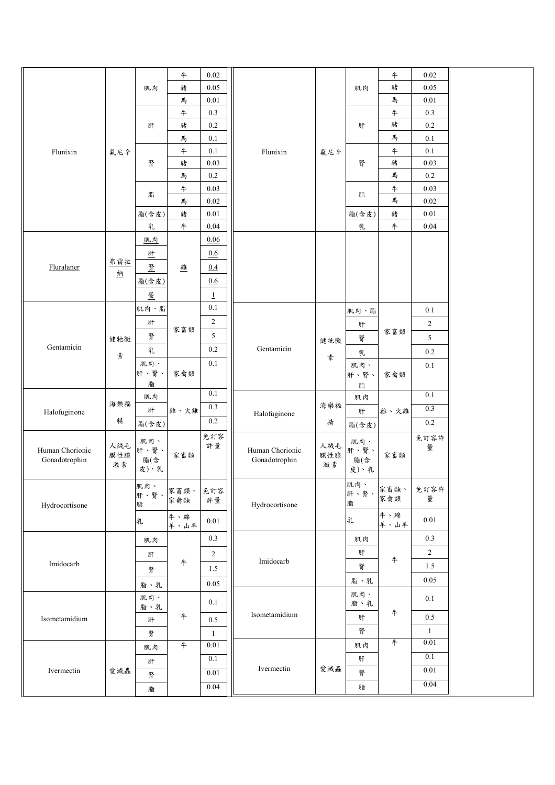|                                  |     |             | $\pm$      | 0.02         |                                  |     |             | #                | $0.02\,$       |  |
|----------------------------------|-----|-------------|------------|--------------|----------------------------------|-----|-------------|------------------|----------------|--|
|                                  |     | 肌肉          | 豬          | 0.05         |                                  |     | 肌肉          | 豬                | $0.05\,$       |  |
|                                  |     |             | 馬          | $0.01\,$     |                                  |     |             | 馬                | 0.01           |  |
|                                  |     |             | #          | 0.3          |                                  |     |             | #                | $0.3\,$        |  |
|                                  |     | 肝           | 豬          | $0.2\,$      |                                  |     | 肝           | 豬                | $0.2\,$        |  |
|                                  |     |             | 馬          | $0.1\,$      |                                  |     |             | 馬                | $0.1\,$        |  |
| Flunixin                         | 氟尼辛 |             | $\ddagger$ | $0.1\,$      | Flunixin                         | 氟尼辛 |             | #                | 0.1            |  |
|                                  |     | 腎           | 豬          | 0.03         |                                  |     | 腎           | 豬                | $0.03\,$       |  |
|                                  |     |             | 馬          | $0.2\,$      |                                  |     |             | 馬                | $0.2\,$        |  |
|                                  |     |             | #          | 0.03         |                                  |     |             | #                | 0.03           |  |
|                                  |     | 脂           | 馬          | 0.02         |                                  |     | 脂           | 馬                | $0.02\,$       |  |
|                                  |     | 脂(含皮)       | 豬          | $0.01\,$     |                                  |     | 脂(含皮)       | 豬                | $0.01\,$       |  |
|                                  |     | 乳           | $\pm$      | 0.04         |                                  |     | 乳           | $\boldsymbol{+}$ | 0.04           |  |
|                                  |     |             |            |              |                                  |     |             |                  |                |  |
|                                  |     | 肌肉          |            | 0.06         |                                  |     |             |                  |                |  |
|                                  | 弗雷拉 | 肚           |            | 0.6          |                                  |     |             |                  |                |  |
| Fluralaner                       | 納   | 腎           | 雞          | 0.4          |                                  |     |             |                  |                |  |
|                                  |     | 脂(含皮)       |            | 0.6          |                                  |     |             |                  |                |  |
|                                  |     | 蛋           |            | $\perp$      |                                  |     |             |                  |                |  |
|                                  |     | 肌肉、脂        |            | 0.1          |                                  |     | 肌肉、脂        |                  | $0.1\,$        |  |
|                                  |     | 肝           |            | $\sqrt{2}$   |                                  |     |             |                  | $\overline{c}$ |  |
|                                  |     | 腎           | 家畜類        | 5            |                                  |     | 肝           | 家畜類              |                |  |
| Gentamicin                       | 健牠黴 |             |            | 0.2          | Gentamicin                       | 健牠黴 | 腎           |                  | 5              |  |
|                                  | 素   | 乳           |            |              |                                  | 素   | 乳           |                  | $0.2\,$        |  |
|                                  |     | 肌肉、<br>肝、腎、 | 家禽類        | $0.1\,$      |                                  |     | 肌肉、         |                  | $0.1\,$        |  |
|                                  |     | 脂           |            |              |                                  |     | 肝、腎、<br>脂   | 家禽類              |                |  |
|                                  |     | 肌肉          |            | 0.1          |                                  |     | 肌肉          |                  | 0.1            |  |
|                                  | 海樂福 | 肝           | 雞、火雞       | 0.3          |                                  | 海樂福 | 肝           | 雞、火雞             | 0.3            |  |
| Halofuginone                     | 精   |             |            | 0.2          | Halofuginone                     | 精   |             |                  | $0.2\,$        |  |
|                                  |     | 脂(含皮)       |            |              |                                  |     | 脂(含皮)       |                  |                |  |
|                                  | 人絨毛 | 肌肉、         |            | 免訂容<br>許量    |                                  | 人絨毛 | 肌肉、         |                  | 免訂容許<br>量      |  |
| Human Chorionic<br>Gonadotrophin | 膜性腺 | 肝、腎、<br>脂(含 | 家畜類        |              | Human Chorionic<br>Gonadotrophin | 膜性腺 | 肝、腎、<br>脂(含 | 家畜類              |                |  |
|                                  | 激素  | 皮)、乳        |            |              |                                  | 激素  | 皮)、乳        |                  |                |  |
|                                  |     |             |            |              |                                  |     |             |                  |                |  |
|                                  |     | 肌肉、<br>肝、腎、 | 家畜類、       | 免訂容          |                                  |     | 肌肉、<br>肝、腎、 | 家畜類、             | 免訂容許           |  |
| Hydrocortisone                   |     | 脂           | 家禽類        | 許量           | Hydrocortisone                   |     | 脂           | 家禽類              | 量              |  |
|                                  |     |             | 牛、綿        | $0.01\,$     |                                  |     |             | 牛、綿              | 0.01           |  |
|                                  |     | 乳           | 羊、山羊       |              |                                  |     | 乳           | 羊、山羊             |                |  |
|                                  |     | 肌肉          |            | 0.3          |                                  |     | 肌肉          |                  | 0.3            |  |
|                                  |     | 肝           |            | $\sqrt{2}$   |                                  |     | 肝           |                  | $\overline{2}$ |  |
| Imidocarb                        |     |             | $\#$       | 1.5          | Imidocarb                        |     | 腎           | $\ddagger$       | 1.5            |  |
|                                  |     | 腎           |            |              |                                  |     | 脂、乳         |                  | 0.05           |  |
|                                  |     | 脂、乳         |            | 0.05         |                                  |     |             |                  |                |  |
|                                  |     | 肌肉、         |            | 0.1          |                                  |     | 肌肉、<br>脂、乳  |                  | 0.1            |  |
|                                  |     | 脂、乳         | $\ddagger$ |              | Isometamidium                    |     | 肝           | $\ddagger$       | 0.5            |  |
| Isometamidium                    |     | 肝           |            | $0.5\,$      |                                  |     |             |                  |                |  |
|                                  |     | 腎           |            | $\mathbf{1}$ |                                  |     | 腎           |                  | $\mathbf{1}$   |  |
|                                  |     | 肌肉          | 牛          | 0.01         |                                  |     | 肌肉          | $+$              | $0.01\,$       |  |
|                                  |     | 肝           |            | 0.1          |                                  |     | 肝           |                  | 0.1            |  |
| Ivermectin                       | 愛滅蟲 | 腎           |            | 0.01         | Ivermectin                       | 愛滅蟲 | 腎           |                  | $0.01\,$       |  |
|                                  |     | 脂           |            | 0.04         |                                  |     | 脂           |                  | 0.04           |  |
|                                  |     |             |            |              |                                  |     |             |                  |                |  |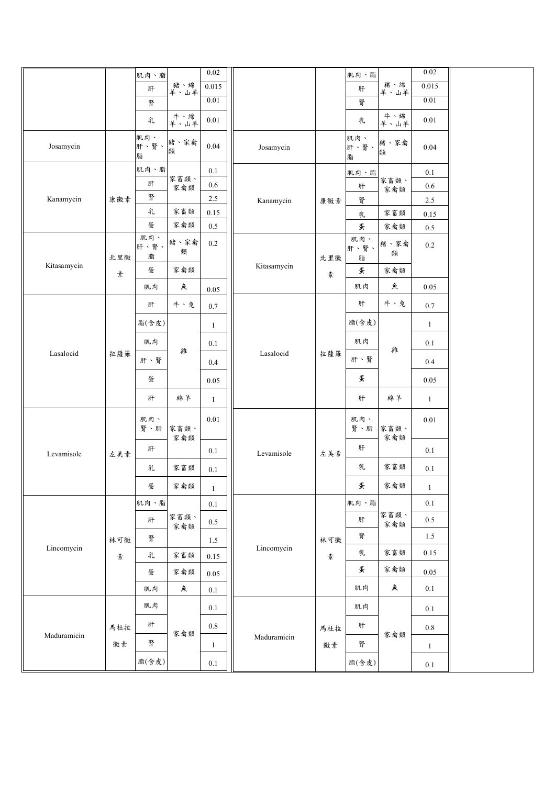|             |     | 肌肉、脂             |             | $0.02\,$     |             |     | 肌肉、脂             |             | $0.02\,$     |  |
|-------------|-----|------------------|-------------|--------------|-------------|-----|------------------|-------------|--------------|--|
|             |     | 肝                | 豬、綿<br>羊、山羊 | 0.015        |             |     | 肝                | 豬、綿<br>羊、山羊 | 0.015        |  |
|             |     | 腎                |             | 0.01         |             |     | 腎                |             | $0.01\,$     |  |
|             |     | 乳                | 牛、綿<br>羊、山羊 | 0.01         |             |     | 乳                | 牛、綿<br>羊、山羊 | 0.01         |  |
| Josamycin   |     | 肌肉、<br>肝、腎、<br>脂 | 豬、家禽<br>類   | 0.04         | Josamycin   |     | 肌肉、<br>肝、腎、<br>脂 | 豬、家禽<br>類   | 0.04         |  |
|             |     | 肌肉、脂             |             | 0.1          |             |     | 肌肉、脂             |             | 0.1          |  |
|             |     | 肝                | 家畜類、<br>家禽類 | $0.6\,$      |             |     | 肝                | 家畜類、<br>家禽類 | $0.6\,$      |  |
| Kanamycin   | 康黴素 | 腎                |             | $2.5\,$      | Kanamycin   | 康徽素 | 腎                |             | 2.5          |  |
|             |     | 乳                | 家畜類         | $0.15\,$     |             |     | 乳                | 家畜類         | 0.15         |  |
|             |     | 蛋                | 家禽類         | $0.5\,$      |             |     | 蛋                | 家禽類         | 0.5          |  |
|             | 北里黴 | 肌肉、<br>肝、腎、<br>脂 | 豬、家禽<br>類   | $0.2\,$      |             | 北里黴 | 肌肉、<br>肝、腎、<br>脂 | 豬、家禽<br>類   | $0.2\,$      |  |
| Kitasamycin | 素   | 蛋                | 家禽類         |              | Kitasamycin | 素   | 蛋                | 家禽類         |              |  |
|             |     | 肌肉               | 魚           | 0.05         |             |     | 肌肉               | 魚           | 0.05         |  |
|             |     | 肝                | 牛、兔         | $0.7\,$      |             |     | 肝                | 牛、兔         | 0.7          |  |
|             |     | 脂(含皮)            |             | $\mathbf{1}$ |             |     | 脂(含皮)            |             | $\mathbf{1}$ |  |
|             |     | 肌肉               | 雞           | 0.1          |             |     | 肌肉               | 雞           | 0.1          |  |
| Lasalocid   | 拉薩羅 | 肝、腎              |             | 0.4          | Lasalocid   | 拉薩羅 | 肝、腎              |             | 0.4          |  |
|             |     | 蛋                |             | 0.05         |             |     | 蛋                |             | 0.05         |  |
|             |     | 肝                | 綿羊          | $\mathbf{1}$ |             |     | 肝                | 綿羊          | $\mathbf{1}$ |  |
|             |     | 肌肉、<br>腎、脂       | 家畜類、<br>家禽類 | $0.01\,$     |             |     | 肌肉、<br>腎、脂       | 家畜類、<br>家禽類 | $0.01\,$     |  |
| Levamisole  | 左美素 | 肝                |             | 0.1          | Levamisole  | 左美素 | 肝                |             | 0.1          |  |
|             |     | 乳                | 家畜類         | 0.1          |             |     | 乳                | 家畜類         | 0.1          |  |
|             |     | 蛋                | 家禽類         | $\mathbf{1}$ |             |     | 蛋                | 家禽類         | $\mathbf{1}$ |  |
|             |     | 肌肉、脂             |             | 0.1          |             |     | 肌肉、脂             |             | 0.1          |  |
|             |     | 肝                | 家畜類、<br>家禽類 | 0.5          |             |     | 肝                | 家畜類、<br>家禽類 | $0.5\,$      |  |
|             | 林可黴 | 腎                |             | 1.5          |             | 林可黴 | 腎                |             | 1.5          |  |
| Lincomycin  | 素   | 乳                | 家畜類         | 0.15         | Lincomycin  | 素   | 乳                | 家畜類         | 0.15         |  |
|             |     | 蛋                | 家禽類         | 0.05         |             |     | 蛋                | 家禽類         | 0.05         |  |
|             |     | 肌肉               | 魚           | $0.1\,$      |             |     | 肌肉               | 魚           | 0.1          |  |
|             |     | 肌肉               |             | 0.1          |             |     | 肌肉               |             | 0.1          |  |
| Maduramicin | 馬杜拉 | 肝                | 家禽類         | $0.8\,$      |             | 馬杜拉 | 肝                | 家禽類         | $0.8\,$      |  |
|             | 黴素  | 腎                |             | $\mathbf{1}$ | Maduramicin | 黴素  | 腎                |             | $\mathbf{1}$ |  |
|             |     | 脂(含皮)            |             | 0.1          |             |     | 脂(含皮)            |             | $0.1\,$      |  |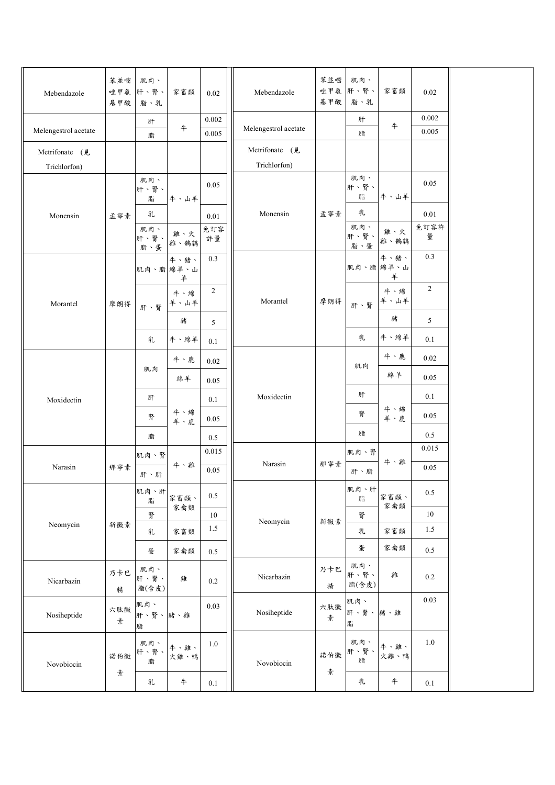| Mebendazole                    | 苯並嘧<br>基甲酸 | 肌肉、<br>唑甲氨 肝、腎、<br>脂、乳 | 家畜類          | 0.02           | Mebendazole                    | 苯並嘧<br>唑甲氨<br>基甲酸 | 肌肉、<br>肝、腎、<br>脂、乳   | 家畜類                    | $0.02\,$       |  |
|--------------------------------|------------|------------------------|--------------|----------------|--------------------------------|-------------------|----------------------|------------------------|----------------|--|
| Melengestrol acetate           |            | 肝<br>脂                 | #            | 0.002<br>0.005 | Melengestrol acetate           |                   | 肝<br>脂               | $\boldsymbol{+}$       | 0.002<br>0.005 |  |
| Metrifonate (見<br>Trichlorfon) |            |                        |              |                | Metrifonate (見<br>Trichlorfon) |                   |                      |                        |                |  |
|                                |            | 肌肉、<br>肝、腎、<br>脂       | 牛、山羊         | 0.05           |                                |                   | 肌肉、<br>肝、腎、<br>脂     | 牛、山羊                   | 0.05           |  |
| Monensin                       | 孟寧素        | 乳                      |              | 0.01           | Monensin                       | 孟寧素               | 乳                    |                        | 0.01           |  |
|                                |            | 肌肉、<br>肝、腎、<br>脂、蛋     | 雞、火<br>雞、鵪鶉  | 免訂容<br>許量      |                                |                   | 肌肉、<br>肝、腎、<br>脂、蛋   | 雞、火<br>雞、鵪鶉            | 免訂容許<br>量      |  |
|                                |            | 肌肉、脂 綿羊、山              | 牛、豬、<br>羊    | 0.3            |                                |                   |                      | 牛、豬、<br>肌肉、脂 綿羊、山<br>羊 | 0.3            |  |
| Morantel                       | 摩朗得        | 肝、腎                    | 牛、綿<br>羊、山羊  | $\overline{c}$ | Morantel                       | 摩朗得               | 肝、腎                  | 牛、綿<br>羊、山羊            | $\overline{2}$ |  |
|                                |            |                        | 豬            | 5              |                                |                   |                      | 豬                      | 5              |  |
|                                |            | 乳                      | 牛、綿羊         | 0.1            |                                |                   | 乳                    | 牛、綿羊                   | 0.1            |  |
|                                |            |                        | 牛、鹿          | 0.02           |                                |                   | 肌肉                   | 牛、鹿                    | $0.02\,$       |  |
|                                |            | 肌肉                     | 綿羊           | 0.05           |                                |                   |                      | 綿羊                     | 0.05           |  |
| Moxidectin                     |            | 肝                      |              | 0.1            | Moxidectin                     |                   | 肝                    |                        | 0.1            |  |
|                                |            | 腎                      | 牛、綿<br>羊、鹿   | 0.05           |                                |                   | 腎                    | 牛、綿<br>羊、鹿             | 0.05           |  |
|                                |            | 脂                      |              | 0.5            |                                |                   | 脂                    |                        | 0.5            |  |
|                                |            | 肌肉、腎                   |              | 0.015          |                                |                   | 肌肉、腎                 |                        | 0.015          |  |
| Narasin                        | 那寧素        | 肝、脂                    | 牛、雞          | 0.05           | Narasin                        | 那寧素               | 肝、脂                  | 牛、雞                    | 0.05           |  |
|                                |            | 肌肉、肝<br>脂              | 家畜類、<br>家禽類  | 0.5            |                                |                   | 肌肉、肝<br>脂            | 家畜類、<br>家禽類            | $0.5\,$        |  |
|                                |            | 腎                      |              | 10             | Neomycin                       | 新黴素               | 腎                    |                        | 10             |  |
| Neomycin                       | 新黴素        | 乳                      | 家畜類          | 1.5            |                                |                   | 乳                    | 家畜類                    | 1.5            |  |
|                                |            | 蛋                      | 家禽類          | 0.5            |                                |                   | 蛋                    | 家禽類                    | 0.5            |  |
| Nicarbazin                     | 乃卡巴<br>精   | 肌肉、<br>肝、腎、<br>脂(含皮)   | 雞            | $0.2\,$        | Nicarbazin                     | 乃卡巴<br>精          | 肌肉、<br>肝、腎、<br>脂(含皮) | 雞                      | $0.2\,$        |  |
| Nosiheptide                    | 六肽黴<br>素   | 肌肉、<br>肝、腎、豬、雞<br>脂    |              | 0.03           | Nosiheptide                    | 六肽黴<br>素          | 肌肉、<br>肝、腎、<br>脂     | 豬、雞                    | 0.03           |  |
| Novobiocin                     | 諾伯黴        | 肌肉、<br>肝、腎、<br>脂       | 牛、雞、<br>火雞、鴨 | $1.0\,$        | Novobiocin                     | 諾伯黴               | 肌肉、<br>肝、腎、<br>脂     | 牛、雞、<br>火雞、鴨           | $1.0\,$        |  |
|                                | 素          | 乳                      | $\#$         | 0.1            |                                | 素                 | 乳                    | $\,$ $\,$              | 0.1            |  |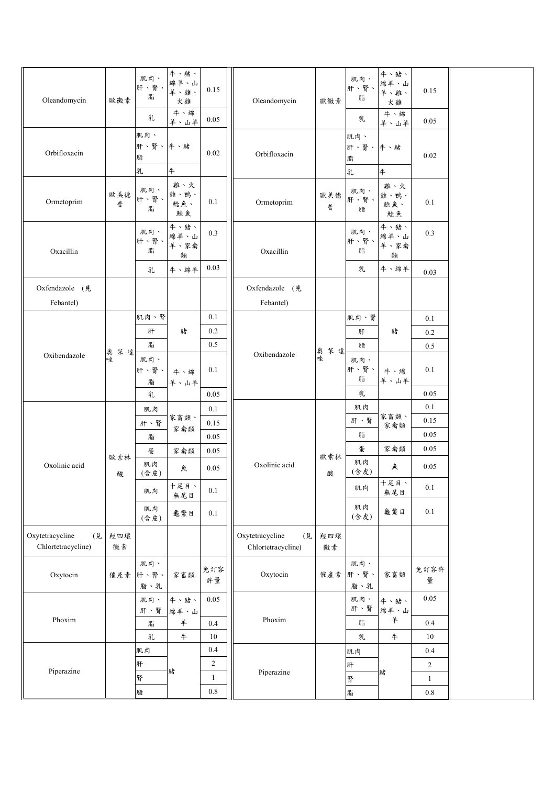| Oleandomycin                                | 歐黴素       | 肌肉、<br>肝、腎、<br>脂<br>乳    | 牛、豬、<br>綿羊、山<br>羊、雞、<br>火雞<br>牛、綿<br>羊、山羊 | 0.15<br>0.05                   | Oleandomycin                                | 歐黴素       | 肌肉、<br>肝、腎、<br>脂<br>乳    | 牛、豬、<br>綿羊、山<br>羊、雞、<br>火雞<br>牛、綿 | 0.15<br>0.05            |  |
|---------------------------------------------|-----------|--------------------------|-------------------------------------------|--------------------------------|---------------------------------------------|-----------|--------------------------|-----------------------------------|-------------------------|--|
| Orbifloxacin                                |           | 肌肉、<br>肝、腎、牛、豬<br>脂<br>乳 | 4                                         | 0.02                           | Orbifloxacin                                |           | 肌肉、<br>肝、腎、牛、豬<br>脂<br>乳 | 羊、山羊<br>牛                         | $0.02\,$                |  |
| Ormetoprim                                  | 歐美德<br>普  | 肌肉、<br>肝、腎、<br>脂         | 雞、火<br>雞、鴨、<br>鯰魚、<br>鮭魚                  | 0.1                            | Ormetoprim                                  | 歐美德<br>普  | 肌肉、<br>肝、腎、<br>脂         | 雞、火<br>雞、鴨、<br>鯰魚、<br>鮭魚          | 0.1                     |  |
| Oxacillin                                   |           | 肌肉、<br>肝、腎、<br>脂         | 牛、豬、<br>綿羊、山<br>羊、家禽<br>類                 | 0.3                            | Oxacillin                                   |           | 肌肉、<br>肝、腎、<br>脂         | 牛、豬、<br>綿羊、山<br>羊、家禽<br>類         | 0.3                     |  |
|                                             |           | 乳                        | 牛、綿羊                                      | 0.03                           |                                             |           | 乳                        | 牛、綿羊                              | 0.03                    |  |
| Oxfendazole (見<br>Febantel)                 |           |                          |                                           |                                | Oxfendazole (見<br>Febantel)                 |           |                          |                                   |                         |  |
|                                             |           | 肌肉、腎                     |                                           | 0.1                            |                                             |           | 肌肉、腎                     |                                   | 0.1                     |  |
|                                             |           | 肝                        | 豬                                         | 0.2                            |                                             |           | 肝                        | 豬                                 | 0.2                     |  |
|                                             | 奥苯達       | 脂                        |                                           | 0.5                            | Oxibendazole                                | 奥苯達       | 脂                        |                                   | 0.5                     |  |
| Oxibendazole                                |           | 肌肉、<br>肝、腎、<br>脂         | 牛、綿<br>羊、山羊                               | 0.1                            |                                             |           | 肌肉、<br>肝、腎、<br>脂         | 牛、綿<br>羊、山羊                       | 0.1                     |  |
|                                             |           | 乳                        |                                           | 0.05                           |                                             |           | 乳                        |                                   | 0.05                    |  |
|                                             |           | 肌肉                       |                                           | 0.1                            |                                             |           | 肌肉                       |                                   | 0.1                     |  |
|                                             |           | 肝、腎                      | 家畜類、<br>家禽類                               | $0.15\,$                       |                                             |           | 肝、腎                      | 家畜類、<br>家禽類                       | 0.15                    |  |
|                                             |           | 脂                        |                                           | 0.05                           |                                             |           | 脂                        |                                   | 0.05                    |  |
|                                             | 歐索林       | 蛋                        | 家禽類                                       | 0.05                           |                                             | 歐索林       | 蛋                        | 家禽類                               | 0.05                    |  |
| Oxolinic acid                               | 酸         | 肌肉<br>(含皮)               | 魚                                         | 0.05                           | Oxolinic acid                               | 酸         | 肌肉<br>(含皮)               | 魚                                 | 0.05                    |  |
|                                             |           | 肌肉                       | 十足目、<br>無尾目                               | $0.1\,$                        |                                             |           | 肌肉                       | 十足目、<br>無尾目                       | 0.1                     |  |
|                                             |           | 肌肉<br>(含皮)               | 龜鱉目                                       | 0.1                            |                                             |           | 肌肉<br>(含皮)               | 龜鱉目                               | 0.1                     |  |
| Oxytetracycline<br>(見<br>Chlortetracycline) | 羥四環<br>黴素 |                          |                                           |                                | Oxytetracycline<br>(見<br>Chlortetracycline) | 羥四環<br>黴素 |                          |                                   |                         |  |
| Oxytocin                                    | 催產素       | 肌肉、<br>肝、腎、<br>脂、乳       | 家畜類                                       | 免訂容<br>許量                      | Oxytocin                                    | 催產素       | 肌肉、<br>肝、腎、<br>脂、乳       | 家畜類                               | 免訂容許<br>量               |  |
|                                             |           | 肌肉、<br>肝、腎               | 牛、豬、<br>綿羊、山                              | 0.05                           |                                             |           | 肌肉、<br>肝、腎               | 牛、豬、<br>綿羊、山                      | 0.05                    |  |
| Phoxim                                      |           | 脂                        | 羊                                         | 0.4                            | Phoxim                                      |           | 脂                        | 羊                                 | 0.4                     |  |
|                                             |           | 乳                        | #                                         | 10                             |                                             |           | 乳                        | $\#$                              | 10                      |  |
|                                             |           | 肌肉                       |                                           | 0.4                            |                                             |           | 肌肉                       |                                   | 0.4                     |  |
| Piperazine                                  |           | 肝                        | 豬                                         | $\overline{c}$<br>$\mathbf{1}$ | Piperazine                                  |           | 肝                        | 豬                                 | $\overline{c}$          |  |
|                                             |           | 腎<br>脂                   |                                           | $0.8\,$                        |                                             |           | 腎                        |                                   | $\mathbf{1}$<br>$0.8\,$ |  |
|                                             |           |                          |                                           |                                |                                             |           | 脂                        |                                   |                         |  |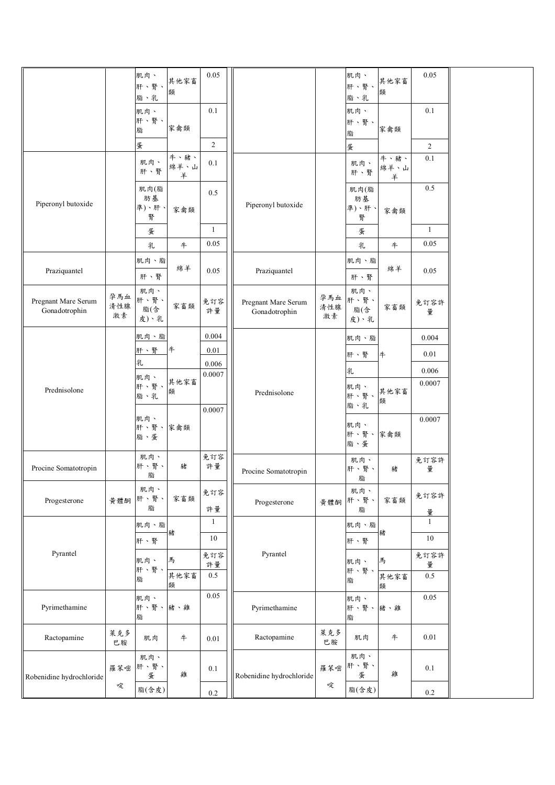|                                      |     | 肌肉、          |              | 0.05           |                                      |            | 肌肉、         |           | 0.05           |
|--------------------------------------|-----|--------------|--------------|----------------|--------------------------------------|------------|-------------|-----------|----------------|
|                                      |     | 肝、腎、         | 其他家畜<br>類    |                |                                      |            | 肝、腎、        | 其他家畜<br>類 |                |
|                                      |     | 脂、乳          |              |                |                                      |            | 脂、乳         |           |                |
|                                      |     | 肌肉、<br>肝、腎、  |              | 0.1            |                                      |            | 肌肉、<br>肝、腎、 |           | 0.1            |
|                                      |     | 脂            | 家禽類          |                |                                      |            | 脂           | 家禽類       |                |
|                                      |     | 蛋            |              | $\overline{2}$ |                                      |            | 蛋           |           | $\overline{2}$ |
|                                      |     | 肌肉、          | 牛、豬、<br>綿羊、山 | $0.1\,$        |                                      |            | 肌肉、         | 牛、豬、      | 0.1            |
|                                      |     | 肝、腎          | 羊            |                |                                      |            | 肝、腎         | 綿羊、山<br>羊 |                |
|                                      |     | 肌肉(脂         |              | 0.5            |                                      |            | 肌肉(脂        |           | 0.5            |
| Piperonyl butoxide                   |     | 肪基<br>準)、肝、  |              |                | Piperonyl butoxide                   |            | 肪基<br>準)、肝、 |           |                |
|                                      |     | 腎            | 家禽類          |                |                                      |            | 腎           | 家禽類       |                |
|                                      |     | 蛋            |              | 1              |                                      |            | 蛋           |           | $\mathbf{1}$   |
|                                      |     | 乳            | #            | 0.05           |                                      |            | 乳           | $\#$      | 0.05           |
|                                      |     | 肌肉、脂         |              |                |                                      |            | 肌肉、脂        |           |                |
| Praziquantel                         |     | 肝、腎          | 綿羊           | 0.05           | Praziquantel                         |            | 肝、腎         | 綿羊        | 0.05           |
|                                      | 孕馬血 | 肌肉、          |              |                |                                      |            | 肌肉、         |           |                |
| Pregnant Mare Serum<br>Gonadotrophin | 清性腺 | 肝、腎、<br>脂(含  | 家畜類          | 免訂容<br>許量      | Pregnant Mare Serum<br>Gonadotrophin | 孕馬血<br>清性腺 | 肝、腎、<br>脂(含 | 家畜類       | 免訂容許           |
|                                      | 激素  | 皮)、乳         |              |                |                                      | 激素         | 皮)、乳        |           | 量              |
|                                      |     | 肌肉、脂         |              | 0.004          |                                      |            | 肌肉、脂        |           | 0.004          |
|                                      |     | 肝、腎          | #            | 0.01           |                                      |            | 肝、腎         | #         | 0.01           |
|                                      |     | 乳            |              | 0.006          |                                      |            |             |           | 0.006          |
|                                      |     | 肌肉、          | 其他家畜         | 0.0007         |                                      |            | 乳           |           | 0.0007         |
| Prednisolone                         |     | 肝、腎、<br>脂、乳  | 類            |                | Prednisolone                         |            | 肌肉、<br>肝、腎、 | 其他家畜      |                |
|                                      |     |              |              | 0.0007         |                                      |            | 脂、乳         | 類         |                |
|                                      |     | 肌肉、<br>肝、腎、  | 家禽類          |                |                                      |            | 肌肉、         |           | 0.0007         |
|                                      |     | 脂、蛋          |              |                |                                      |            | 肝、腎、        | 家禽類       |                |
|                                      |     | 肌肉、          |              | 免訂容            |                                      |            | 脂、蛋         |           |                |
| Procine Somatotropin                 |     | 肝、腎、         | 豬            | 許量             | Procine Somatotropin                 |            | 肌肉、<br>肝、腎、 | 豬         | 免訂容許<br>量      |
|                                      |     | 脂            |              |                |                                      |            | 脂           |           |                |
| Progesterone                         | 黄體酮 | 肌肉、<br>肝、腎、  | 家畜類          | 免訂容            | Progesterone                         |            | 肌肉、<br>肝、腎、 | 家畜類       | 免訂容許           |
|                                      |     | 脂            |              | 許量             |                                      | 黃體酮        | 脂           |           | 量              |
|                                      |     | 肌肉、脂         |              | $\mathbf{1}$   |                                      |            | 肌肉、脂        |           | $\mathbf{1}$   |
|                                      |     | 肝、腎          | 豬            | $10\,$         |                                      |            | 肝、腎         | 豬         | $10\,$         |
| Pyrantel                             |     | 肌肉、          | 馬            | 免訂容            | Pyrantel                             |            |             | 馬         | 免訂容許           |
|                                      |     | 肝、腎、         | 其他家畜         | 許量<br>0.5      |                                      |            | 肌肉、<br>肝、腎、 |           | 量              |
|                                      |     | 脂            | 類            |                |                                      |            | 脂           | 其他家畜<br>類 | 0.5            |
|                                      |     | 肌肉、          |              | 0.05           |                                      |            | 肌肉、         |           | $0.05\,$       |
| Pyrimethamine                        |     | 肝、腎、豬、雞<br>脂 |              |                | Pyrimethamine                        |            | 肝、腎、<br>脂   | 豬、雞       |                |
|                                      | 萊克多 |              |              |                |                                      | 萊克多        |             |           |                |
| Ractopamine                          | 巴胺  | 肌肉           | $\#$         | $0.01\,$       | Ractopamine                          | 巴胺         | 肌肉          | #         | $0.01\,$       |
|                                      |     | 肌肉、          |              |                |                                      |            | 肌肉、         |           |                |
| Robenidine hydrochloride             | 羅苯嘧 | 肝、腎、<br>蛋    | 雞            | $0.1\,$        | Robenidine hydrochloride             | 羅苯嘧        | 肝、腎、<br>蛋   | 雞         | $0.1\,$        |
|                                      | 啶   | 脂(含皮)        |              |                |                                      | 啶          | 脂(含皮)       |           |                |
|                                      |     |              |              | $0.2\,$        |                                      |            |             |           | $0.2\,$        |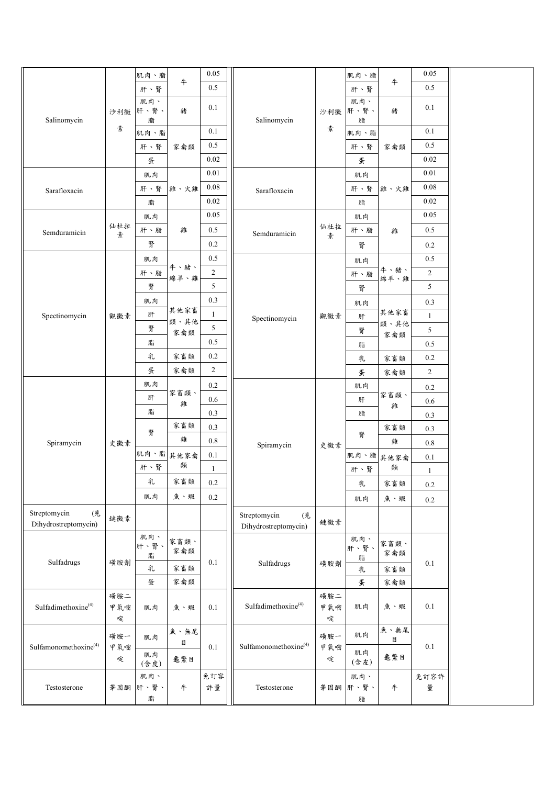|                                            |                 | 肌肉、脂             |              | 0.05           |                                            |                 | 肌肉、脂             |                                     | 0.05           |  |
|--------------------------------------------|-----------------|------------------|--------------|----------------|--------------------------------------------|-----------------|------------------|-------------------------------------|----------------|--|
| Salinomycin                                |                 | 肝、腎              | 牛            | 0.5            |                                            | 沙利黴             | 肝、腎              | $\#$                                | 0.5            |  |
|                                            | 沙利黴             | 肌肉、<br>肝、腎、<br>脂 | 豬            | 0.1            | Salinomycin                                |                 | 肌肉、<br>肝、腎、<br>脂 | 豬                                   | 0.1            |  |
|                                            | 素               | 肌肉、脂             |              | 0.1            |                                            | 素               | 肌肉、脂             |                                     | $0.1\,$        |  |
|                                            |                 | 肝、腎              | 家禽類          | $0.5\,$        |                                            |                 | 肝、腎              | 家禽類                                 | 0.5            |  |
|                                            |                 | 蛋                |              | 0.02           |                                            |                 | 蛋                |                                     | $0.02\,$       |  |
|                                            |                 | 肌肉               |              | $0.01\,$       |                                            |                 | 肌肉               |                                     | $0.01\,$       |  |
| Sarafloxacin                               | 仙杜拉<br>素        | 肝、腎              | 雞、火雞         | $0.08\,$       | Sarafloxacin                               |                 | 肝、腎              | 雞、火雞<br>雞                           | $0.08\,$       |  |
|                                            |                 | 脂                |              | $0.02\,$       |                                            |                 | 脂                |                                     | 0.02           |  |
|                                            |                 | 肌肉               |              | 0.05           |                                            |                 | 肌肉               |                                     | $0.05\,$       |  |
| Semduramicin                               |                 | 肝、脂              | 雞            | 0.5            | Semduramicin                               | 仙杜拉<br>素        | 肝、脂              |                                     | 0.5            |  |
|                                            |                 | 腎                |              | 0.2            |                                            |                 | 腎                |                                     | $0.2\,$        |  |
|                                            |                 | 肌肉               |              | 0.5            |                                            |                 | 肌肉               |                                     | $0.5\,$        |  |
|                                            |                 | 肝、脂              | 牛、豬、<br>綿羊、雞 | $\overline{c}$ |                                            | 觀黴素             | 肝、脂              | 牛、豬、<br>綿羊、雞<br>其他家畜<br>類、其他<br>家禽類 | $\overline{c}$ |  |
|                                            |                 | 腎                |              | 5              |                                            |                 | 腎                |                                     | 5              |  |
|                                            |                 | 肌肉               |              | 0.3            |                                            |                 | 肌肉               |                                     | $0.3\,$        |  |
| Spectinomycin                              | 觀黴素             | 肝                | 其他家畜<br>類、其他 | $\mathbf{1}$   | Spectinomycin                              |                 | 肝                |                                     | $\mathbf{1}$   |  |
|                                            |                 | 腎                | 家禽類          | 5              |                                            |                 | 腎                |                                     | 5              |  |
|                                            |                 | 脂                |              | 0.5            |                                            |                 | 脂                |                                     | $0.5\,$        |  |
|                                            |                 | 乳                | 家畜類          | 0.2            |                                            |                 | 乳                | 家畜類                                 | $0.2\,$        |  |
|                                            |                 | 蛋                | 家禽類          | $\overline{2}$ |                                            |                 | 蛋                | 家禽類                                 | $\overline{c}$ |  |
|                                            |                 | 肌肉               | 家畜類、         | 0.2            |                                            |                 | 肌肉               | 家畜類、                                | $0.2\,$        |  |
|                                            |                 | 肝                | 雞            | 0.6            | Spiramycin                                 | 史黴素             | 肝                | 雞                                   | $0.6\,$        |  |
|                                            |                 | 脂                |              | 0.3            |                                            |                 | 脂                |                                     | 0.3            |  |
|                                            | 史徽素             | 腎                | 家畜類          | 0.3            |                                            |                 | 腎                | 家畜類                                 | 0.3            |  |
| Spiramycin                                 |                 |                  | 雞            | 0.8            |                                            |                 |                  | 雞<br>其他家禽                           | $0.8\,$        |  |
|                                            |                 | 肌肉、脂             | 其他家禽<br>類    | 0.1            |                                            |                 | 肌肉、脂             |                                     | 0.1            |  |
|                                            |                 | 肝、腎              |              | $\mathbf{1}$   |                                            |                 | 肝、腎              | 類                                   | $\mathbf{1}$   |  |
|                                            |                 | 乳                | 家畜類          | 0.2            |                                            |                 | 乳                | 家畜類                                 | $0.2\,$        |  |
|                                            |                 | 肌肉               | 魚、蝦          | 0.2            |                                            |                 | 肌肉               | 魚、蝦                                 | $0.2\,$        |  |
| Streptomycin<br>(見<br>Dihydrostreptomycin) | 鏈黴素             |                  |              |                | Streptomycin<br>(見<br>Dihydrostreptomycin) | 鏈黴素             |                  |                                     |                |  |
|                                            |                 | 肌肉、<br>肝、腎、      | 家畜類、         |                |                                            |                 | 肌肉、<br>肝、腎、      | 家畜類、                                |                |  |
| Sulfadrugs                                 | 磺胺劑             | 脂                | 家禽類          | $0.1\,$        | Sulfadrugs                                 | 磺胺劑             | 脂                | 家禽類<br>家畜類                          | $0.1\,$        |  |
|                                            |                 | 乳                | 家畜類          |                |                                            |                 | 乳                |                                     |                |  |
|                                            |                 | 蛋                | 家禽類          |                |                                            |                 | 蛋                | 家禽類                                 |                |  |
| Sulfadimethoxine <sup>(4)</sup>            | 磺胺二<br>甲氧嘧<br>啶 | 肌肉               | 魚、蝦          | $0.1\,$        | Sulfadimethoxine <sup>(4)</sup>            | 磺胺二<br>甲氧嘧<br>啶 | 肌肉               | 魚、蝦                                 | $0.1\,$        |  |
| Sulfamonomethoxine <sup>(4)</sup>          | 磺胺一<br>甲氧嘧      | 肌肉               | 魚、無尾<br>目    | 0.1            | Sulfamonomethoxine <sup>(4)</sup>          | 磺胺一<br>甲氧嘧      | 肌肉               | 魚、無尾<br>目                           | $0.1\,$        |  |
|                                            | 啶               | 肌肉<br>(含皮)       | 龜鱉目          |                |                                            | 啶               | 肌肉<br>(含皮)       | 龜鱉目                                 |                |  |
| Testosterone                               | 睾固酮             | 肌肉、<br>肝、腎、      | $\ddagger$   | 免訂容<br>許量      | Testosterone                               | 睾固酮             | 肌肉、<br>肝、腎、      | $\#$                                | 免訂容許<br>量      |  |
|                                            |                 | 脂                |              |                |                                            |                 | 脂                |                                     |                |  |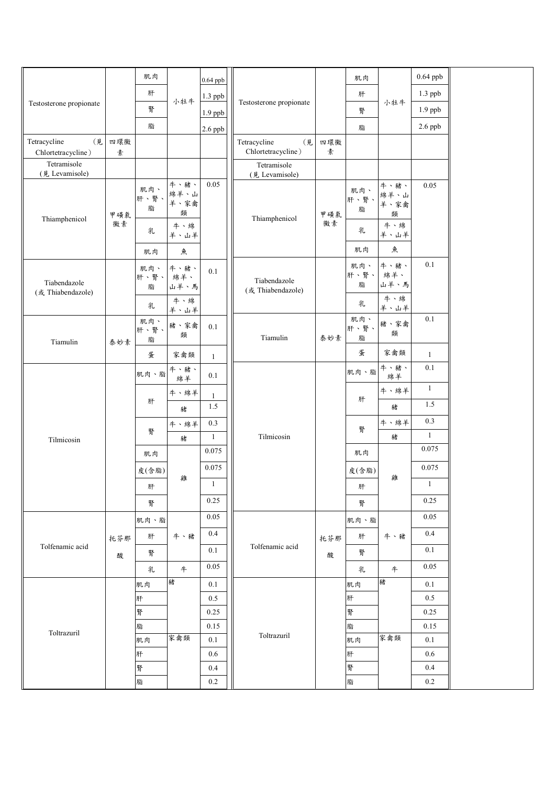|                                   |     | 肌肉               |                           | $0.64$ ppb   |                         |                                   |                  | 肌肉                        |                     | $0.64$ ppb   |  |
|-----------------------------------|-----|------------------|---------------------------|--------------|-------------------------|-----------------------------------|------------------|---------------------------|---------------------|--------------|--|
| Testosterone propionate           |     | 肝                | 小牡牛                       | $1.3$ ppb    |                         |                                   |                  | 肝                         |                     | 1.3 ppb      |  |
|                                   |     | 腎                |                           | $1.9$ ppb    | Testosterone propionate |                                   | 腎                | 小牡牛                       | $1.9$ ppb           |              |  |
|                                   |     | 脂                |                           | $2.6$ ppb    |                         |                                   |                  | 脂                         |                     | $2.6$ ppb    |  |
| Tetracycline<br>(見                | 四環黴 |                  |                           |              |                         | Tetracycline<br>(見                | 四環黴              |                           |                     |              |  |
| Chlortetracycline)<br>Tetramisole | 素   |                  |                           |              |                         | Chlortetracycline)                | 素                |                           |                     |              |  |
| (見 Levamisole)                    |     |                  |                           |              |                         | Tetramisole<br>(見 Levamisole)     |                  |                           |                     |              |  |
| Thiamphenicol                     | 甲磺氯 | 肌肉、<br>肝、腎、<br>脂 | 牛、豬、<br>綿羊、山<br>羊、家禽<br>類 | 0.05         | Thiamphenicol           | 甲磺氯<br>黴素                         | 肌肉、<br>肝、腎、<br>脂 | 牛、豬、<br>綿羊、山<br>羊、家禽<br>類 | 0.05                |              |  |
|                                   | 黴素  | 乳                | 牛、綿<br>羊、山羊               |              |                         |                                   | 乳                | 牛、綿<br>羊、山羊               |                     |              |  |
|                                   |     | 肌肉               | 魚                         |              |                         |                                   |                  | 肌肉                        | 魚                   |              |  |
| Tiabendazole<br>(或 Thiabendazole) |     | 肌肉、<br>肝、腎、<br>脂 | 牛、豬、<br>綿羊、<br>山羊、馬       | 0.1          |                         | Tiabendazole<br>(或 Thiabendazole) |                  | 肌肉、<br>肝、腎、<br>脂          | 牛、豬、<br>綿羊、<br>山羊、馬 | 0.1          |  |
|                                   |     | 乳                | 牛、綿<br>羊、山羊               |              |                         |                                   |                  | 乳                         | 牛、綿<br>羊、山羊         |              |  |
| Tiamulin                          | 泰妙素 | 肌肉、<br>肝、腎、<br>脂 | 豬、家禽<br>類                 | 0.1          |                         | Tiamulin                          | 泰妙素              | 肌肉、<br>肝、腎、<br>脂          | 豬、家禽<br>類           | 0.1          |  |
|                                   |     | 蛋                | 家禽類                       | $\mathbf{1}$ |                         |                                   |                  | 蛋                         | 家禽類                 | 1            |  |
|                                   |     | 肌肉、脂             | 牛、豬、<br>綿羊                | 0.1          |                         |                                   |                  | 肌肉、脂                      | 牛、豬、<br>綿羊          | 0.1          |  |
|                                   |     |                  | 牛、綿羊                      | $\mathbf{1}$ |                         |                                   |                  | 肝                         | 牛、綿羊                | $\mathbf{1}$ |  |
|                                   |     | 肝                | 豬                         | 1.5          |                         |                                   |                  |                           | 豬                   | 1.5          |  |
|                                   |     |                  | 牛、綿羊                      | 0.3          | Tilmicosin              |                                   |                  | 牛、綿羊<br>腎                 | 0.3                 |              |  |
| Tilmicosin                        |     | 腎                | 豬                         | 1            |                         |                                   |                  |                           | 豬                   | $\mathbf{1}$ |  |
|                                   |     | 肌肉               | 雞                         | 0.075        |                         |                                   |                  | 肌肉                        | 雞                   | 0.075        |  |
|                                   |     | 皮(含脂)            |                           | 0.075        |                         |                                   |                  | 皮(含脂)                     |                     | 0.075        |  |
|                                   |     | 肝                |                           | $\mathbf{1}$ |                         |                                   |                  | 肝                         |                     | $\mathbf{1}$ |  |
|                                   |     | 腎                |                           | 0.25         |                         |                                   |                  | 腎                         |                     | 0.25         |  |
|                                   |     | 肌肉、脂             |                           | 0.05         |                         |                                   |                  | 肌肉、脂                      |                     | $0.05\,$     |  |
|                                   | 托芬那 | 肝                | 牛、豬                       | 0.4          |                         |                                   | 托芬那              | 肝                         | 牛、豬                 | 0.4          |  |
| Tolfenamic acid                   | 酸   | 腎                |                           | 0.1          |                         | Tolfenamic acid                   | 酸                | 腎                         |                     | 0.1          |  |
|                                   |     | 乳                | #                         | 0.05         |                         |                                   |                  | 乳                         | $\ddagger$          | 0.05         |  |
|                                   |     | 肌肉               | 豬                         | 0.1          |                         |                                   |                  | 肌肉                        | 豬                   | 0.1          |  |
|                                   |     | 肝                |                           | $0.5\,$      |                         |                                   |                  | 肝                         |                     | 0.5          |  |
| Toltrazuril                       |     | 腎                |                           | 0.25         |                         |                                   |                  | 腎                         |                     | 0.25         |  |
|                                   |     | 脂                |                           | 0.15         |                         | Toltrazuril                       |                  | 脂                         |                     | 0.15         |  |
|                                   |     | 肌肉               | 家禽類                       | 0.1          |                         |                                   |                  | 肌肉                        | 家禽類                 | 0.1          |  |
|                                   |     | 肝<br>腎           |                           | 0.6<br>0.4   |                         |                                   |                  | 肝<br>腎                    |                     | 0.6<br>0.4   |  |
|                                   |     | 脂                |                           | 0.2          |                         |                                   |                  | 脂                         |                     | 0.2          |  |
|                                   |     |                  |                           |              |                         |                                   |                  |                           |                     |              |  |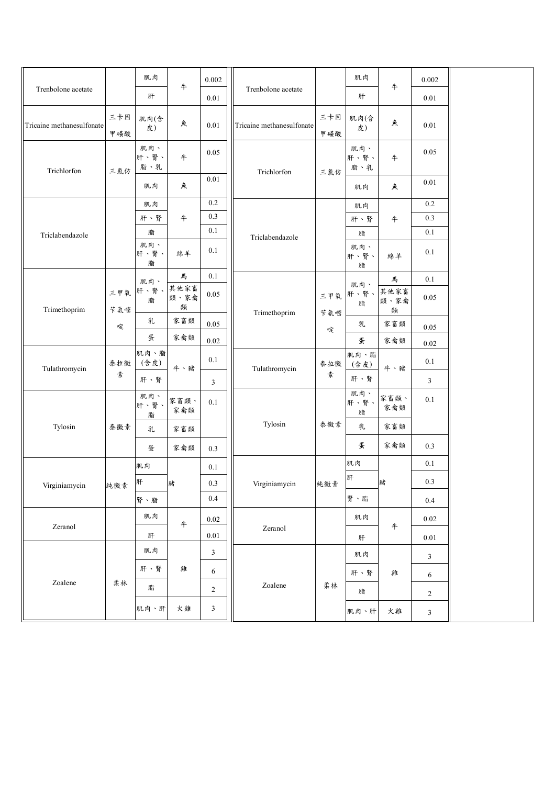| Trenbolone acetate        |                 | 肌肉<br>肝            | #                 | 0.002          |    | Trenbolone acetate        |                 | 肌肉<br>肝            | $\#$              | 0.002<br>0.01  |  |
|---------------------------|-----------------|--------------------|-------------------|----------------|----|---------------------------|-----------------|--------------------|-------------------|----------------|--|
|                           |                 |                    |                   | 0.01           |    |                           |                 |                    |                   |                |  |
| Tricaine methanesulfonate | 三卡因<br>甲磺酸      | 肌肉(含<br>皮)         | 魚                 | 0.01           |    | Tricaine methanesulfonate | 三卡因<br>甲磺酸      | 肌肉(含<br>皮)         | 魚                 | $0.01\,$       |  |
| Trichlorfon               | 三氯仿             | 肌肉、<br>肝、腎、<br>脂、乳 | 牛                 | 0.05           |    | Trichlorfon               | 三氯仿             | 肌肉、<br>肝、腎、<br>脂、乳 | 牛                 | 0.05           |  |
|                           |                 | 肌肉                 | 魚                 | 0.01           |    |                           |                 | 肌肉                 | 魚                 | $0.01\,$       |  |
|                           |                 | 肌肉                 |                   | $0.2\,$        |    |                           |                 | 肌肉                 |                   | 0.2            |  |
|                           |                 | 肝、腎                | #                 | 0.3            |    |                           |                 | 肝、腎                | $\#$              | 0.3            |  |
| Triclabendazole           |                 | 脂                  |                   | 0.1            |    | Triclabendazole           |                 | 脂                  |                   | 0.1            |  |
|                           |                 | 肌肉、<br>肝、腎、<br>脂   | 綿羊                | 0.1            |    |                           |                 | 肌肉、<br>肝、腎、<br>脂   | 綿羊                | 0.1            |  |
|                           |                 | 肌肉、                | 馬                 | 0.1            |    |                           |                 | 肌肉、                | 馬                 | 0.1            |  |
| Trimethoprim              | 三甲氧<br>苄氨嘧<br>啶 | 肝、腎、<br>脂          | 其他家畜<br>類、家禽<br>類 | 0.05           |    | Trimethoprim              | 三甲氧<br>苄氨嘧<br>啶 | 肝、腎、<br>脂          | 其他家畜<br>類、家禽<br>類 | 0.05           |  |
|                           |                 | 乳                  | 家畜類               | 0.05           |    |                           |                 | 乳                  | 家畜類               | 0.05           |  |
|                           |                 | 蛋                  | 家禽類               | 0.02           |    |                           |                 | 蛋                  | 家禽類               | 0.02           |  |
| Tulathromycin             | 泰拉黴             | 肌肉、脂<br>(含皮)       | 牛、豬               | 0.1            |    | Tulathromycin             | 泰拉黴             | 肌肉、脂<br>(含皮)       | 牛、豬               | 0.1            |  |
|                           | 素               | 肝、腎                |                   | 3              |    |                           | 素               | 肝、腎                |                   | $\mathfrak{Z}$ |  |
|                           | 泰黴素             | 肌肉、<br>肝、腎、<br>脂   | 家畜類、<br>家禽類       | 0.1            |    |                           | 泰黴素             | 肌肉、<br>肝、腎、<br>脂   | 家畜類、<br>家禽類       | 0.1            |  |
| Tylosin                   |                 | 乳                  | 家畜類               |                |    | Tylosin                   |                 | 乳                  | 家畜類               |                |  |
|                           |                 | 蛋                  | 家禽類               | 0.3            |    |                           |                 | 蛋                  | 家禽類               | 0.3            |  |
|                           |                 | 肌肉                 | 0.1<br>豬          |                | 肌肉 |                           | 0.1             |                    |                   |                |  |
| Virginiamycin 純微素         |                 | 肝                  |                   | $0.3\,$        |    | Virginiamycin 純微素         |                 | 肝                  | 豬                 | 0.3            |  |
|                           |                 | 腎、脂                |                   | $0.4\,$        |    |                           |                 | 腎、脂                |                   | 0.4            |  |
| Zeranol                   |                 | 肌肉                 | #                 | 0.02           |    |                           |                 | 肌肉                 |                   | 0.02           |  |
|                           |                 | 肝                  |                   | 0.01           |    | Zeranol                   |                 | 肝                  | $\ddagger$        | 0.01           |  |
| Zoalene                   | 柔林              | 肌肉                 |                   | 3              |    | Zoalene                   | 柔林              | 肌肉                 |                   | $\mathbf{3}$   |  |
|                           |                 | 肝、腎                | 雞                 | 6              |    |                           |                 | 肝、腎                | 雞                 | 6              |  |
|                           |                 | 脂                  |                   | $\overline{c}$ |    |                           |                 | 脂                  |                   | $\sqrt{2}$     |  |
|                           |                 | 肌肉、肝               | 火雞                | 3              |    |                           |                 | 肌肉、肝               | 火雞                | $\mathfrak{Z}$ |  |